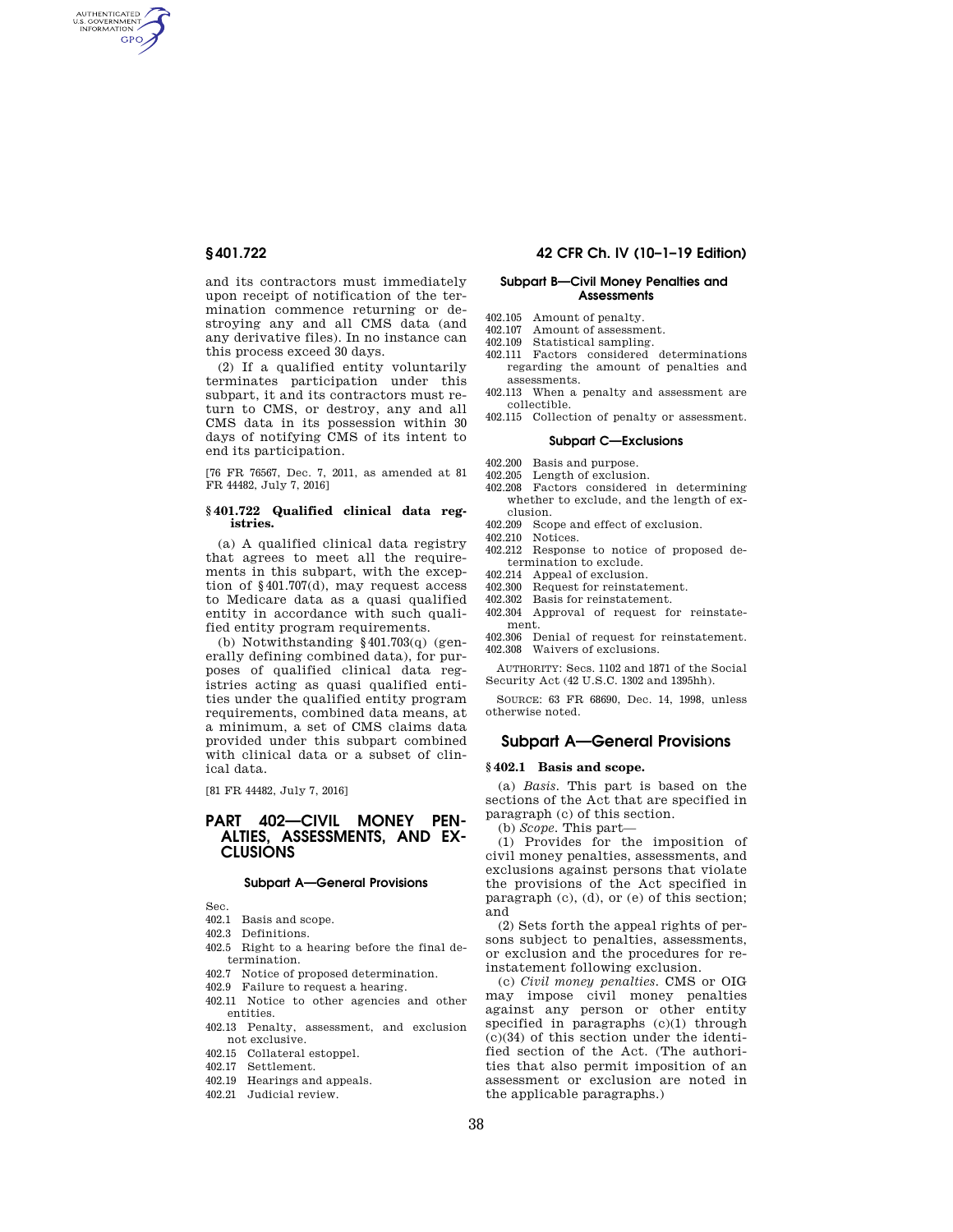AUTHENTICATED<br>U.S. GOVERNMENT<br>INFORMATION **GPO** 

> and its contractors must immediately upon receipt of notification of the termination commence returning or destroying any and all CMS data (and any derivative files). In no instance can this process exceed 30 days.

> (2) If a qualified entity voluntarily terminates participation under this subpart, it and its contractors must return to CMS, or destroy, any and all CMS data in its possession within 30 days of notifying CMS of its intent to end its participation.

> [76 FR 76567, Dec. 7, 2011, as amended at 81 FR 44482, July 7, 2016]

### **§ 401.722 Qualified clinical data registries.**

(a) A qualified clinical data registry that agrees to meet all the requirements in this subpart, with the exception of §401.707(d), may request access to Medicare data as a quasi qualified entity in accordance with such qualified entity program requirements.

(b) Notwithstanding §401.703(q) (generally defining combined data), for purposes of qualified clinical data registries acting as quasi qualified entities under the qualified entity program requirements, combined data means, at a minimum, a set of CMS claims data provided under this subpart combined with clinical data or a subset of clinical data.

[81 FR 44482, July 7, 2016]

# **PART 402—CIVIL MONEY PEN-ALTIES, ASSESSMENTS, AND EX-CLUSIONS**

### **Subpart A—General Provisions**

Sec.

- 402.1 Basis and scope.
- 402.3 Definitions.
- 402.5 Right to a hearing before the final determination.
- 402.7 Notice of proposed determination.
- 402.9 Failure to request a hearing.
- 402.11 Notice to other agencies and other entities.
- 402.13 Penalty, assessment, and exclusion not exclusive.
- 402.15 Collateral estoppel.
- 402.17 Settlement.
- 402.19 Hearings and appeals.
- 402.21 Judicial review.

## **§ 401.722 42 CFR Ch. IV (10–1–19 Edition)**

## **Subpart B—Civil Money Penalties and Assessments**

- 402.105 Amount of penalty.<br>402.107 Amount of assessme
- 402.107 Amount of assessment.<br>402.109 Statistical sampling
- Statistical sampling.
- 402.111 Factors considered determinations regarding the amount of penalties and assessments.
- 402.113 When a penalty and assessment are collectible.
- 402.115 Collection of penalty or assessment.

### **Subpart C—Exclusions**

- 402.200 Basis and purpose.
- 402.205 Length of exclusion.
- 402.208 Factors considered in determining whether to exclude, and the length of exclusion.
- 402.209 Scope and effect of exclusion.
- 402.210 Notices.
- 402.212 Response to notice of proposed determination to exclude.
- 402.214 Appeal of exclusion.
- 402.300 Request for reinstatement.<br>402.302 Basis for reinstatement.
- Basis for reinstatement.
- 402.304 Approval of request for reinstate-

ment. 402.306 Denial of request for reinstatement. 402.308 Waivers of exclusions.

AUTHORITY: Secs. 1102 and 1871 of the Social Security Act (42 U.S.C. 1302 and 1395hh).

SOURCE: 63 FR 68690, Dec. 14, 1998, unless otherwise noted.

## **Subpart A—General Provisions**

## **§ 402.1 Basis and scope.**

(a) *Basis.* This part is based on the sections of the Act that are specified in paragraph (c) of this section.

(b) *Scope.* This part—

(1) Provides for the imposition of civil money penalties, assessments, and exclusions against persons that violate the provisions of the Act specified in paragraph (c), (d), or (e) of this section; and

(2) Sets forth the appeal rights of persons subject to penalties, assessments, or exclusion and the procedures for reinstatement following exclusion.

(c) *Civil money penalties.* CMS or OIG may impose civil money penalties against any person or other entity specified in paragraphs (c)(1) through (c)(34) of this section under the identified section of the Act. (The authorities that also permit imposition of an assessment or exclusion are noted in the applicable paragraphs.)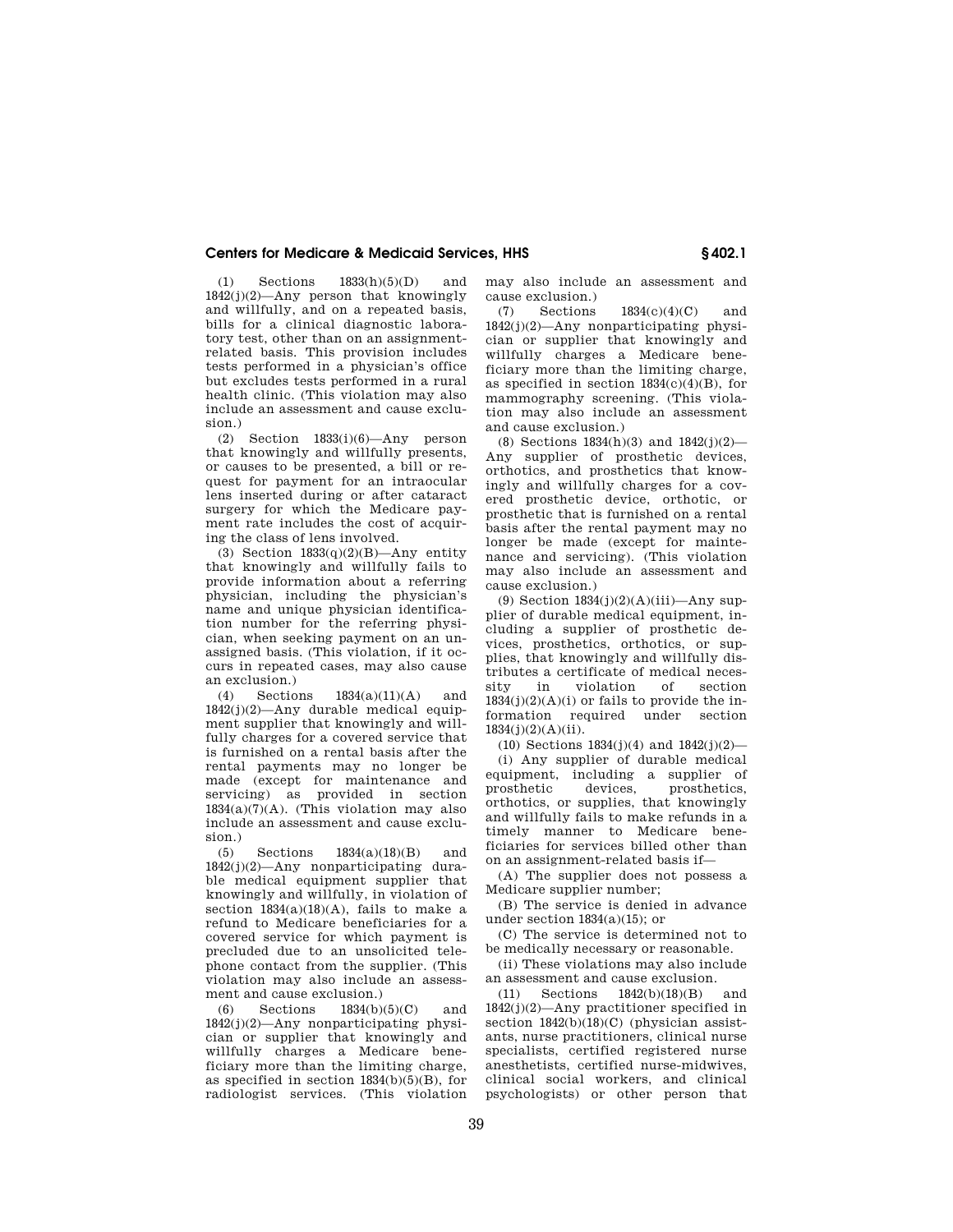(1) Sections 1833(h)(5)(D) and 1842(j)(2)—Any person that knowingly and willfully, and on a repeated basis, bills for a clinical diagnostic laboratory test, other than on an assignmentrelated basis. This provision includes tests performed in a physician's office but excludes tests performed in a rural health clinic. (This violation may also include an assessment and cause exclusion.)

(2) Section 1833(i)(6)—Any person that knowingly and willfully presents, or causes to be presented, a bill or request for payment for an intraocular lens inserted during or after cataract surgery for which the Medicare payment rate includes the cost of acquiring the class of lens involved.

(3) Section  $1833(q)(2)(B)$ —Any entity that knowingly and willfully fails to provide information about a referring physician, including the physician's name and unique physician identification number for the referring physician, when seeking payment on an unassigned basis. (This violation, if it occurs in repeated cases, may also cause an exclusion.)

(4) Sections 1834(a)(11)(A) and 1842(j)(2)—Any durable medical equipment supplier that knowingly and willfully charges for a covered service that is furnished on a rental basis after the rental payments may no longer be made (except for maintenance and servicing) as provided in section  $1834(a)(7)(A)$ . (This violation may also include an assessment and cause exclusion.)

(5) Sections 1834(a)(18)(B) and 1842(j)(2)—Any nonparticipating durable medical equipment supplier that knowingly and willfully, in violation of section  $1834(a)(18)(A)$ , fails to make a refund to Medicare beneficiaries for a covered service for which payment is precluded due to an unsolicited telephone contact from the supplier. (This violation may also include an assessment and cause exclusion.)

(6) Sections 1834(b)(5)(C) and  $1842(i)(2)$ —Any nonparticipating physician or supplier that knowingly and willfully charges a Medicare beneficiary more than the limiting charge, as specified in section 1834(b)(5)(B), for radiologist services. (This violation

may also include an assessment and cause exclusion.)

(7) Sections 1834(c)(4)(C) and 1842(j)(2)—Any nonparticipating physician or supplier that knowingly and willfully charges a Medicare beneficiary more than the limiting charge, as specified in section  $1834(c)(4)(B)$ , for mammography screening. (This violation may also include an assessment and cause exclusion.)

(8) Sections 1834(h)(3) and 1842(j)(2)— Any supplier of prosthetic devices, orthotics, and prosthetics that knowingly and willfully charges for a covered prosthetic device, orthotic, or prosthetic that is furnished on a rental basis after the rental payment may no longer be made (except for maintenance and servicing). (This violation may also include an assessment and cause exclusion.)

(9) Section  $1834(j)(2)(A)(iii)$ —Any supplier of durable medical equipment, including a supplier of prosthetic devices, prosthetics, orthotics, or supplies, that knowingly and willfully distributes a certificate of medical necessity in violation of section  $1834(j)(2)(A)(i)$  or fails to provide the information required under section  $1834(j)(2)(A)(ii)$ .

(10) Sections 1834(j)(4) and 1842(j)(2)—

(i) Any supplier of durable medical equipment, including a supplier of prosthetic devices, prosthetics, orthotics, or supplies, that knowingly and willfully fails to make refunds in a timely manner to Medicare beneficiaries for services billed other than on an assignment-related basis if—

(A) The supplier does not possess a Medicare supplier number;

(B) The service is denied in advance under section 1834(a)(15); or

(C) The service is determined not to be medically necessary or reasonable.

(ii) These violations may also include an assessment and cause exclusion.

(11) Sections 1842(b)(18)(B) and 1842(j)(2)—Any practitioner specified in section  $1842(b)(18)(C)$  (physician assistants, nurse practitioners, clinical nurse specialists, certified registered nurse anesthetists, certified nurse-midwives, clinical social workers, and clinical psychologists) or other person that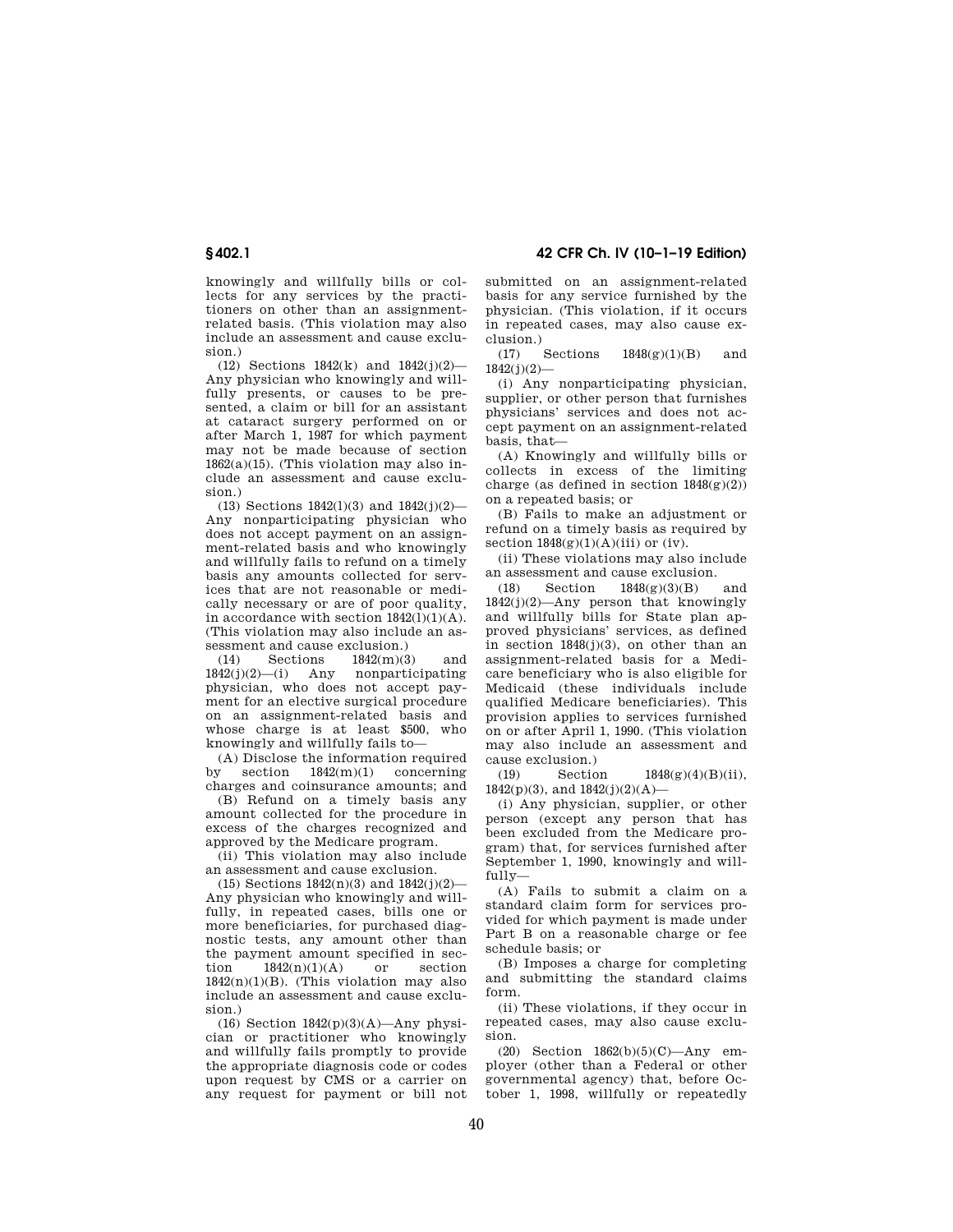knowingly and willfully bills or collects for any services by the practitioners on other than an assignmentrelated basis. (This violation may also include an assessment and cause exclusion)

(12) Sections 1842(k) and 1842(j)(2)— Any physician who knowingly and willfully presents, or causes to be presented, a claim or bill for an assistant at cataract surgery performed on or after March 1, 1987 for which payment may not be made because of section  $1862(a)(15)$ . (This violation may also include an assessment and cause exclusion.)

(13) Sections 1842(l)(3) and 1842(j)(2)— Any nonparticipating physician who does not accept payment on an assignment-related basis and who knowingly and willfully fails to refund on a timely basis any amounts collected for services that are not reasonable or medically necessary or are of poor quality, in accordance with section  $1842(1)(1)(A)$ . (This violation may also include an assessment and cause exclusion.)

(14) Sections  $1842(m)(3)$  and<br> $442(j)(2)$ —(i) Any nonparticipating  $1842(j)(2)$ —(i) Any physician, who does not accept payment for an elective surgical procedure on an assignment-related basis and whose charge is at least \$500, who knowingly and willfully fails to—

(A) Disclose the information required by section 1842(m)(1) concerning charges and coinsurance amounts; and

(B) Refund on a timely basis any amount collected for the procedure in excess of the charges recognized and approved by the Medicare program.

(ii) This violation may also include an assessment and cause exclusion.

(15) Sections  $1842(n)(3)$  and  $1842(j)(2)$ Any physician who knowingly and willfully, in repeated cases, bills one or more beneficiaries, for purchased diagnostic tests, any amount other than the payment amount specified in section  $1842(n)(1)(A)$  or section  $1842(n)(1)(B)$ . (This violation may also include an assessment and cause exclusion)

(16) Section  $1842(p)(3)(A)$ —Any physician or practitioner who knowingly and willfully fails promptly to provide the appropriate diagnosis code or codes upon request by CMS or a carrier on any request for payment or bill not

**§ 402.1 42 CFR Ch. IV (10–1–19 Edition)** 

submitted on an assignment-related basis for any service furnished by the physician. (This violation, if it occurs in repeated cases, may also cause exclusion.)

(17) Sections 1848(g)(1)(B) and  $1842(j)(2)$ 

(i) Any nonparticipating physician, supplier, or other person that furnishes physicians' services and does not accept payment on an assignment-related basis, that—

(A) Knowingly and willfully bills or collects in excess of the limiting charge (as defined in section  $1848(g)(2)$ ) on a repeated basis; or

(B) Fails to make an adjustment or refund on a timely basis as required by section  $1848(g)(1)(A)(iii)$  or (iv).

(ii) These violations may also include an assessment and cause exclusion.

(18) Section 1848(g)(3)(B) and 1842(j)(2)—Any person that knowingly and willfully bills for State plan approved physicians' services, as defined in section  $1848(i)(3)$ , on other than an assignment-related basis for a Medicare beneficiary who is also eligible for Medicaid (these individuals include qualified Medicare beneficiaries). This provision applies to services furnished on or after April 1, 1990. (This violation may also include an assessment and cause exclusion.)

(19) Section 1848(g)(4)(B)(ii),  $1842(p)(3)$ , and  $1842(j)(2)(A)$ —

(i) Any physician, supplier, or other person (except any person that has been excluded from the Medicare program) that, for services furnished after September 1, 1990, knowingly and willfully—

(A) Fails to submit a claim on a standard claim form for services provided for which payment is made under Part B on a reasonable charge or fee schedule basis; or

(B) Imposes a charge for completing and submitting the standard claims form.

(ii) These violations, if they occur in repeated cases, may also cause exclusion.

(20) Section 1862(b)(5)(C)—Any employer (other than a Federal or other governmental agency) that, before October 1, 1998, willfully or repeatedly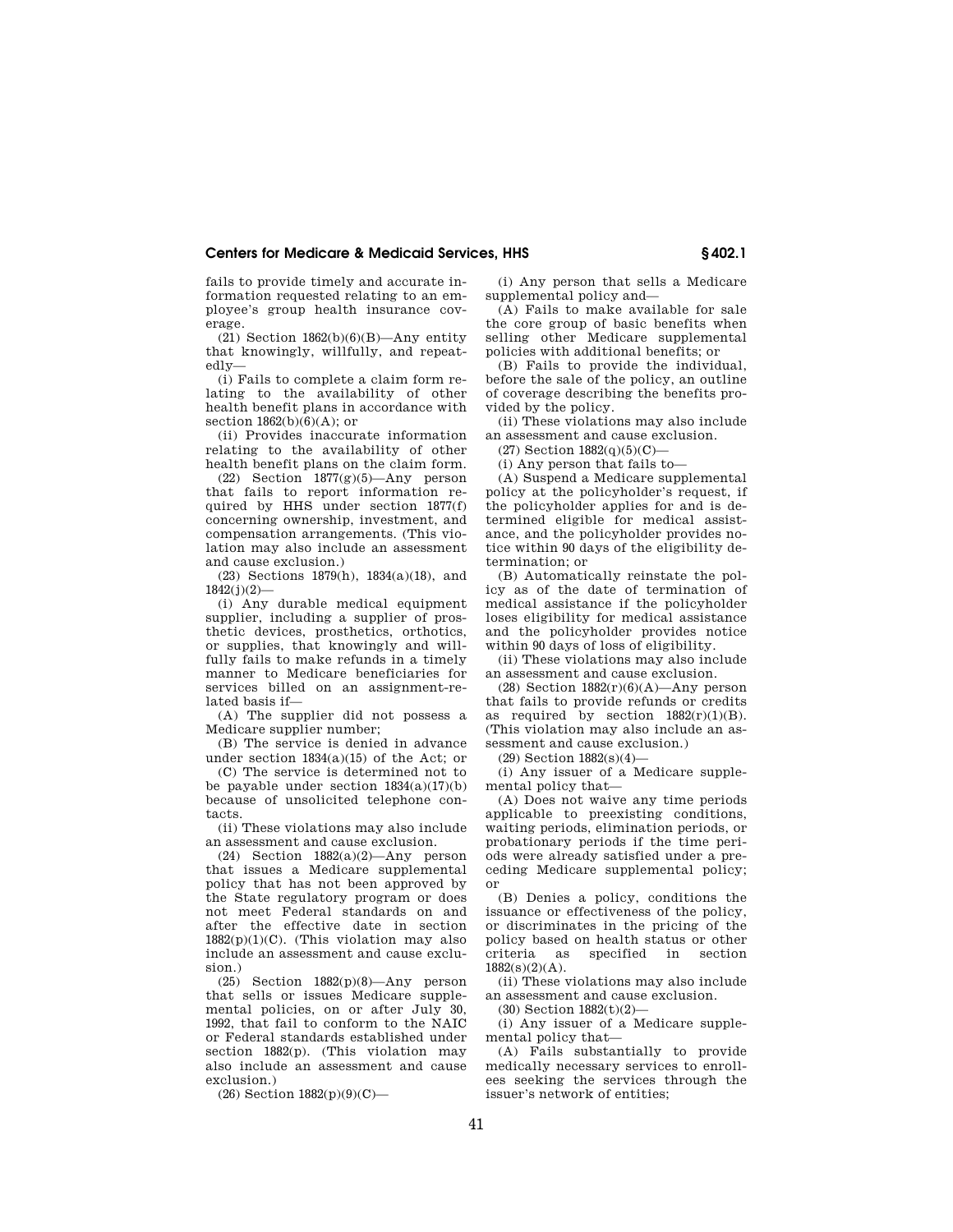fails to provide timely and accurate information requested relating to an employee's group health insurance coverage.

 $(21)$  Section  $1862(b)(6)(B)$ —Any entity that knowingly, willfully, and repeatedly—

(i) Fails to complete a claim form relating to the availability of other health benefit plans in accordance with section  $1862(b)(6)(A)$ ; or

(ii) Provides inaccurate information relating to the availability of other health benefit plans on the claim form.

 $(22)$  Section 1877 $(g)(5)$ —Any person that fails to report information required by HHS under section 1877(f) concerning ownership, investment, and compensation arrangements. (This violation may also include an assessment and cause exclusion.)

(23) Sections 1879(h), 1834(a)(18), and 1842(j)(2)—

(i) Any durable medical equipment supplier, including a supplier of prosthetic devices, prosthetics, orthotics, or supplies, that knowingly and willfully fails to make refunds in a timely manner to Medicare beneficiaries for services billed on an assignment-related basis if—

(A) The supplier did not possess a Medicare supplier number;

(B) The service is denied in advance under section  $1834(a)(15)$  of the Act; or

(C) The service is determined not to be payable under section 1834(a)(17)(b) because of unsolicited telephone contacts.

(ii) These violations may also include an assessment and cause exclusion.

(24) Section 1882(a)(2)—Any person that issues a Medicare supplemental policy that has not been approved by the State regulatory program or does not meet Federal standards on and after the effective date in section  $1882(p)(1)(C)$ . (This violation may also include an assessment and cause exclusion.)

(25) Section 1882(p)(8)—Any person that sells or issues Medicare supplemental policies, on or after July 30, 1992, that fail to conform to the NAIC or Federal standards established under section 1882(p). (This violation may also include an assessment and cause exclusion.)

(26) Section 1882(p)(9)(C)—

(i) Any person that sells a Medicare supplemental policy and—

(A) Fails to make available for sale the core group of basic benefits when selling other Medicare supplemental policies with additional benefits; or

(B) Fails to provide the individual, before the sale of the policy, an outline of coverage describing the benefits provided by the policy.

(ii) These violations may also include an assessment and cause exclusion.

 $(27)$  Section  $1882(q)(5)(C)$ —

(i) Any person that fails to—

(A) Suspend a Medicare supplemental policy at the policyholder's request, if the policyholder applies for and is determined eligible for medical assistance, and the policyholder provides notice within 90 days of the eligibility determination; or

(B) Automatically reinstate the policy as of the date of termination of medical assistance if the policyholder loses eligibility for medical assistance and the policyholder provides notice within 90 days of loss of eligibility.

(ii) These violations may also include an assessment and cause exclusion.

(28) Section  $1882(r)(6)(A)$ —Any person that fails to provide refunds or credits as required by section  $1882(r)(1)(B)$ . (This violation may also include an assessment and cause exclusion.)

(29) Section 1882(s)(4)—

(i) Any issuer of a Medicare supplemental policy that—

(A) Does not waive any time periods applicable to preexisting conditions, waiting periods, elimination periods, or probationary periods if the time periods were already satisfied under a preceding Medicare supplemental policy; or

(B) Denies a policy, conditions the issuance or effectiveness of the policy, or discriminates in the pricing of the policy based on health status or other<br>criteria as specified in section specified in section  $1882(s)(2)(A)$ .

(ii) These violations may also include an assessment and cause exclusion.

 $(30)$  Section  $1882(t)(2)$ 

(i) Any issuer of a Medicare supplemental policy that—

(A) Fails substantially to provide medically necessary services to enrollees seeking the services through the issuer's network of entities;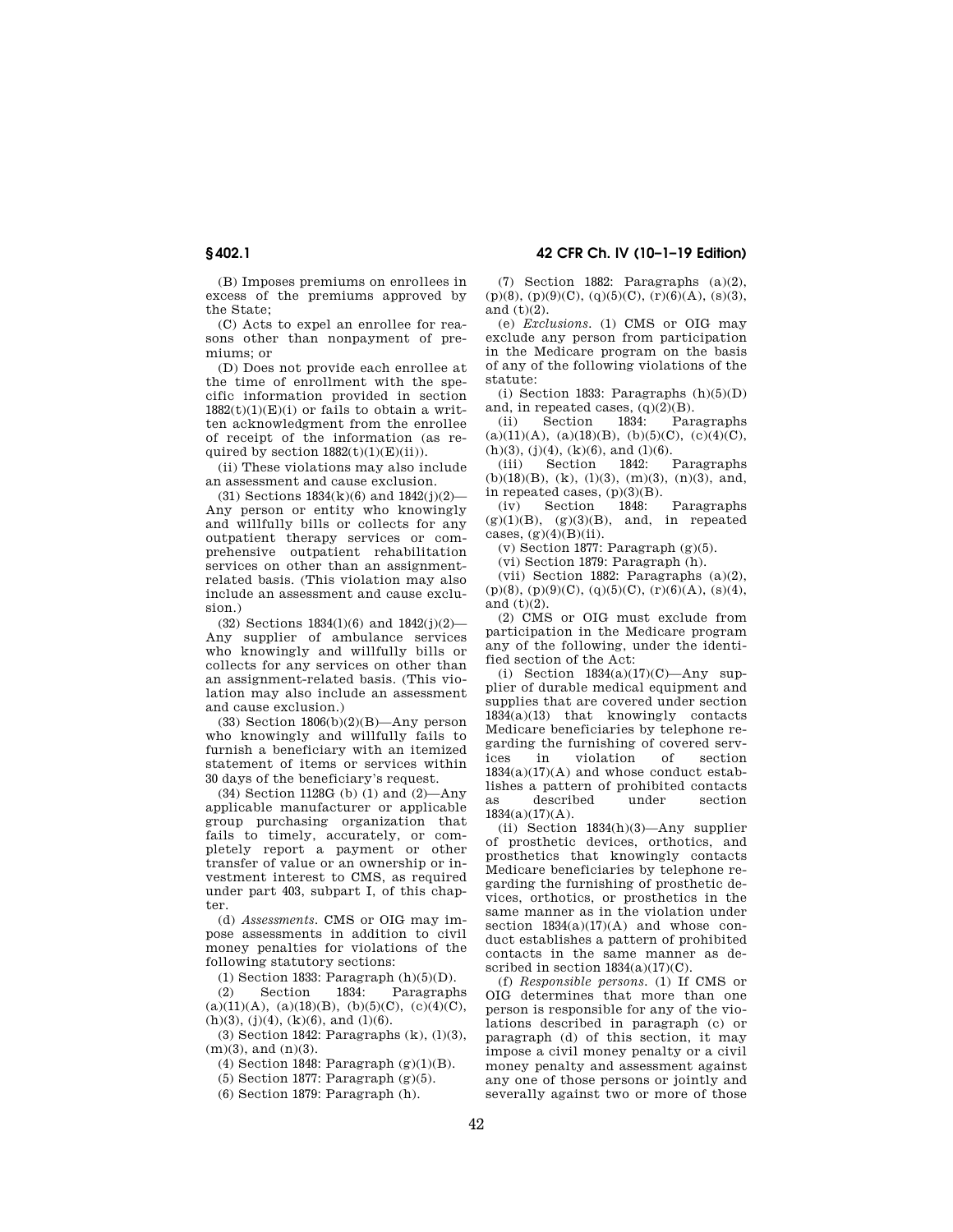(B) Imposes premiums on enrollees in excess of the premiums approved by the State;

(C) Acts to expel an enrollee for reasons other than nonpayment of premiums; or

(D) Does not provide each enrollee at the time of enrollment with the specific information provided in section  $1882(t)(1)(E)(i)$  or fails to obtain a written acknowledgment from the enrollee of receipt of the information (as required by section  $1882(t)(1)(E)(ii)$ .

(ii) These violations may also include an assessment and cause exclusion.

(31) Sections  $1834(k)(6)$  and  $1842(j)(2)$ -Any person or entity who knowingly and willfully bills or collects for any outpatient therapy services or comprehensive outpatient rehabilitation services on other than an assignmentrelated basis. (This violation may also include an assessment and cause exclusion.)

(32) Sections 1834(l)(6) and 1842(j)(2)— Any supplier of ambulance services who knowingly and willfully bills or collects for any services on other than an assignment-related basis. (This violation may also include an assessment and cause exclusion.)

(33) Section  $1806(b)(2)(B)$ —Any person who knowingly and willfully fails to furnish a beneficiary with an itemized statement of items or services within 30 days of the beneficiary's request.

(34) Section 1128G (b) (1) and (2)—Any applicable manufacturer or applicable group purchasing organization that fails to timely, accurately, or completely report a payment or other transfer of value or an ownership or investment interest to CMS, as required under part 403, subpart I, of this chapter.

(d) *Assessments.* CMS or OIG may impose assessments in addition to civil money penalties for violations of the following statutory sections:

(1) Section 1833: Paragraph (h)(5)(D).

(2) Section 1834: Paragraphs  $(a)(11)(A), (a)(18)(B), (b)(5)(C), (c)(4)(C),$  $(h)(3)$ ,  $(j)(4)$ ,  $(k)(6)$ , and  $(l)(6)$ .

(3) Section 1842: Paragraphs (k), (l)(3),  $(m)(3)$ , and  $(n)(3)$ .

(4) Section 1848: Paragraph  $(g)(1)(B)$ .

(5) Section 1877: Paragraph (g)(5).

(6) Section 1879: Paragraph (h).

**§ 402.1 42 CFR Ch. IV (10–1–19 Edition)** 

(7) Section 1882: Paragraphs (a)(2),  $(p)(8)$ ,  $(p)(9)(C)$ ,  $(q)(5)(C)$ ,  $(r)(6)(A)$ ,  $(s)(3)$ , and  $(t)(2)$ .

(e) *Exclusions.* (1) CMS or OIG may exclude any person from participation in the Medicare program on the basis of any of the following violations of the statute:

(i) Section 1833: Paragraphs  $(h)(5)(D)$ and, in repeated cases,  $(q)(2)(B)$ .

(ii) Section 1834: Paragraphs  $(a)(11)(A), (a)(18)(B), (b)(5)(C), (c)(4)(C),$ 

(h)(3), (j)(4), (k)(6), and (l)(6).<br>(iii) Section 1842: (iii) Section 1842: Paragraphs  $(b)(18)(B)$ ,  $(k)$ ,  $(1)(3)$ ,  $(m)(3)$ ,  $(n)(3)$ , and, in repeated cases,  $(p)(3)(B)$ .<br>(iv) Section 1848.

Section 1848: Paragraphs  $(g)(1)(B)$ ,  $(g)(3)(B)$ , and, in repeated cases,  $(g)(4)(B)(ii)$ .

 $(v)$  Section 1877: Paragraph  $(g)(5)$ .

(vi) Section 1879: Paragraph (h).

(vii) Section 1882: Paragraphs (a)(2),  $(p)(8)$ ,  $(p)(9)(C)$ ,  $(q)(5)(C)$ ,  $(r)(6)(A)$ ,  $(s)(4)$ , and (t)(2).

(2) CMS or OIG must exclude from participation in the Medicare program any of the following, under the identified section of the Act:

(i) Section  $1834(a)(17)(C)$ —Any supplier of durable medical equipment and supplies that are covered under section 1834(a)(13) that knowingly contacts Medicare beneficiaries by telephone regarding the furnishing of covered services in violation of section  $1834(a)(17)(A)$  and whose conduct establishes a pattern of prohibited contacts as described under section  $1834(a)(17)(A)$ .

(ii) Section 1834(h)(3)—Any supplier of prosthetic devices, orthotics, and prosthetics that knowingly contacts Medicare beneficiaries by telephone regarding the furnishing of prosthetic devices, orthotics, or prosthetics in the same manner as in the violation under section  $1834(a)(17)(A)$  and whose conduct establishes a pattern of prohibited contacts in the same manner as described in section  $1834(a)(17)(C)$ .

(f) *Responsible persons.* (1) If CMS or OIG determines that more than one person is responsible for any of the violations described in paragraph (c) or paragraph (d) of this section, it may impose a civil money penalty or a civil money penalty and assessment against any one of those persons or jointly and severally against two or more of those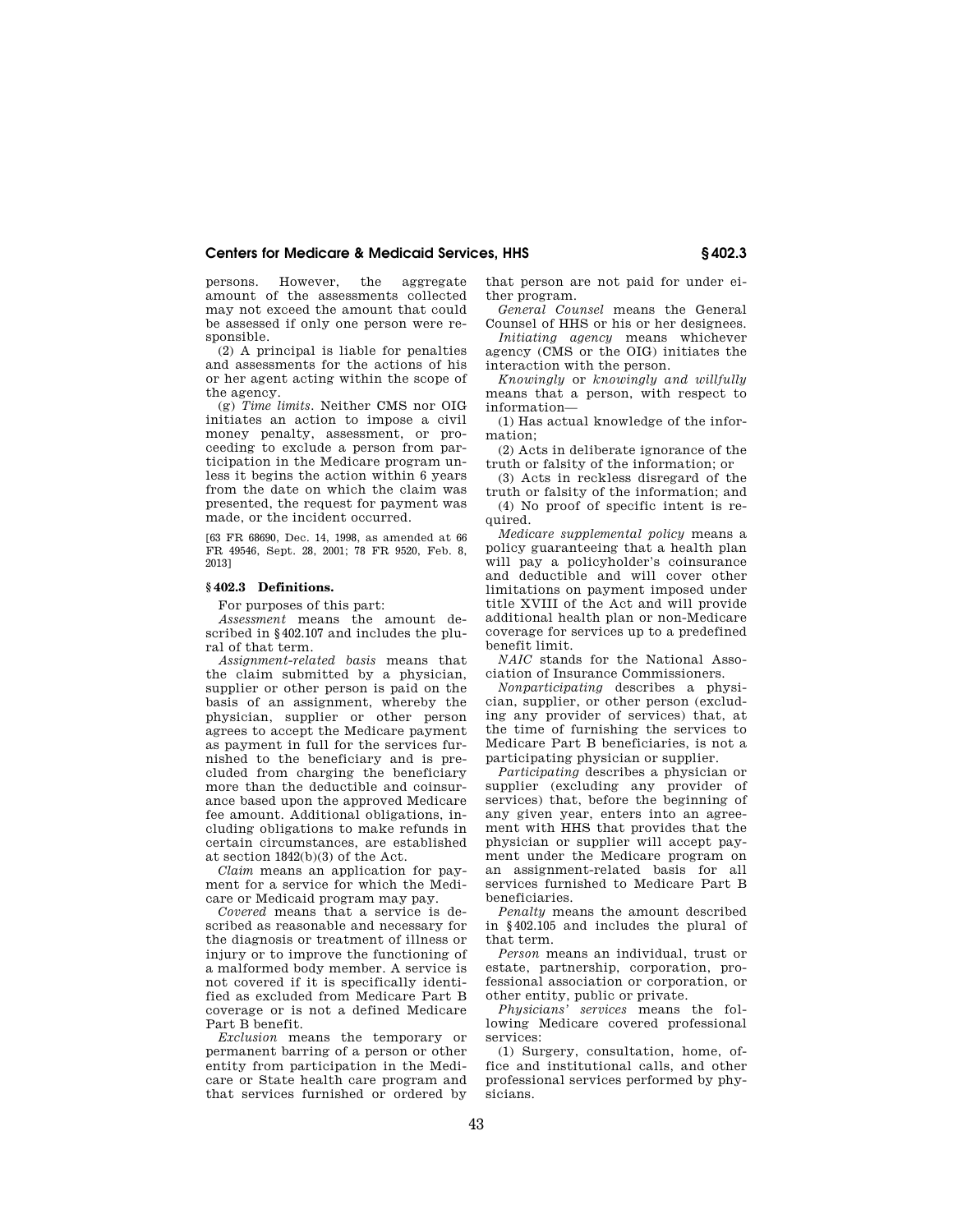persons. However, the aggregate amount of the assessments collected may not exceed the amount that could be assessed if only one person were responsible.

(2) A principal is liable for penalties and assessments for the actions of his or her agent acting within the scope of the agency.

(g) *Time limits.* Neither CMS nor OIG initiates an action to impose a civil money penalty, assessment, or proceeding to exclude a person from participation in the Medicare program unless it begins the action within 6 years from the date on which the claim was presented, the request for payment was made, or the incident occurred.

[63 FR 68690, Dec. 14, 1998, as amended at 66 FR 49546, Sept. 28, 2001; 78 FR 9520, Feb. 8, 2013]

## **§ 402.3 Definitions.**

For purposes of this part:

*Assessment* means the amount described in §402.107 and includes the plural of that term.

*Assignment-related basis* means that the claim submitted by a physician, supplier or other person is paid on the basis of an assignment, whereby the physician, supplier or other person agrees to accept the Medicare payment as payment in full for the services furnished to the beneficiary and is precluded from charging the beneficiary more than the deductible and coinsurance based upon the approved Medicare fee amount. Additional obligations, including obligations to make refunds in certain circumstances, are established at section 1842(b)(3) of the Act.

*Claim* means an application for payment for a service for which the Medicare or Medicaid program may pay.

*Covered* means that a service is described as reasonable and necessary for the diagnosis or treatment of illness or injury or to improve the functioning of a malformed body member. A service is not covered if it is specifically identified as excluded from Medicare Part B coverage or is not a defined Medicare Part B benefit.

*Exclusion* means the temporary or permanent barring of a person or other entity from participation in the Medicare or State health care program and that services furnished or ordered by that person are not paid for under either program.

*General Counsel* means the General Counsel of HHS or his or her designees.

*Initiating agency* means whichever agency (CMS or the OIG) initiates the interaction with the person.

*Knowingly* or *knowingly and willfully*  means that a person, with respect to information—

(1) Has actual knowledge of the information;

(2) Acts in deliberate ignorance of the truth or falsity of the information; or

(3) Acts in reckless disregard of the truth or falsity of the information; and (4) No proof of specific intent is required.

*Medicare supplemental policy* means a policy guaranteeing that a health plan will pay a policyholder's coinsurance and deductible and will cover other limitations on payment imposed under title XVIII of the Act and will provide additional health plan or non-Medicare coverage for services up to a predefined benefit limit.

*NAIC* stands for the National Association of Insurance Commissioners.

*Nonparticipating* describes a physician, supplier, or other person (excluding any provider of services) that, at the time of furnishing the services to Medicare Part B beneficiaries, is not a participating physician or supplier.

*Participating* describes a physician or supplier (excluding any provider of services) that, before the beginning of any given year, enters into an agreement with HHS that provides that the physician or supplier will accept payment under the Medicare program on an assignment-related basis for all services furnished to Medicare Part B beneficiaries.

*Penalty* means the amount described in §402.105 and includes the plural of that term.

*Person* means an individual, trust or estate, partnership, corporation, professional association or corporation, or other entity, public or private.

*Physicians' services* means the following Medicare covered professional services:

(1) Surgery, consultation, home, office and institutional calls, and other professional services performed by physicians.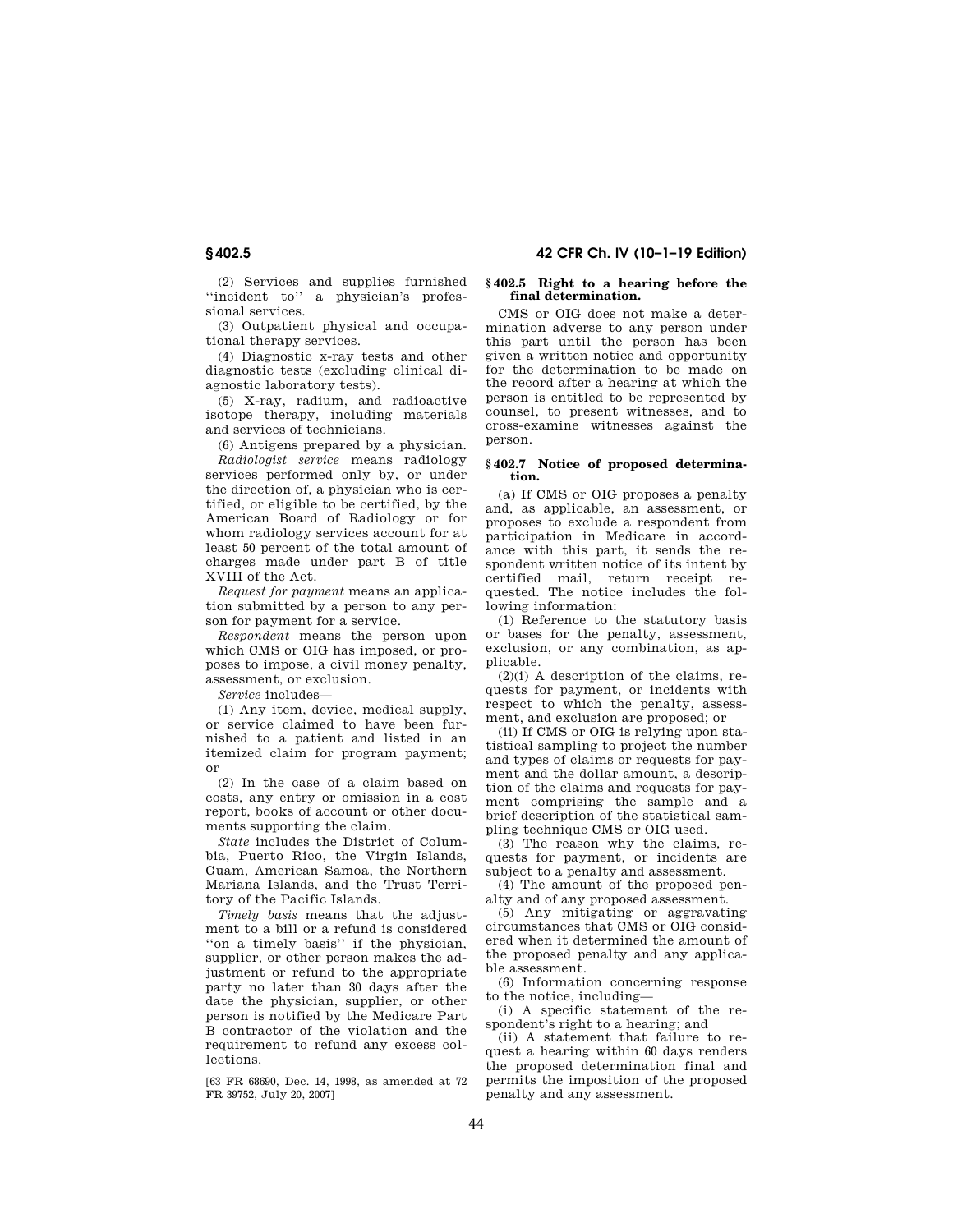**§ 402.5 42 CFR Ch. IV (10–1–19 Edition)** 

(2) Services and supplies furnished ''incident to'' a physician's professional services.

(3) Outpatient physical and occupational therapy services.

(4) Diagnostic x-ray tests and other diagnostic tests (excluding clinical diagnostic laboratory tests).

(5) X-ray, radium, and radioactive isotope therapy, including materials and services of technicians.

(6) Antigens prepared by a physician.

*Radiologist service* means radiology services performed only by, or under the direction of, a physician who is certified, or eligible to be certified, by the American Board of Radiology or for whom radiology services account for at least 50 percent of the total amount of charges made under part B of title XVIII of the Act.

*Request for payment* means an application submitted by a person to any person for payment for a service.

*Respondent* means the person upon which CMS or OIG has imposed, or proposes to impose, a civil money penalty, assessment, or exclusion.

*Service* includes—

(1) Any item, device, medical supply, or service claimed to have been furnished to a patient and listed in an itemized claim for program payment; or

(2) In the case of a claim based on costs, any entry or omission in a cost report, books of account or other documents supporting the claim.

*State* includes the District of Columbia, Puerto Rico, the Virgin Islands, Guam, American Samoa, the Northern Mariana Islands, and the Trust Territory of the Pacific Islands.

*Timely basis* means that the adjustment to a bill or a refund is considered ''on a timely basis'' if the physician, supplier, or other person makes the adjustment or refund to the appropriate party no later than 30 days after the date the physician, supplier, or other person is notified by the Medicare Part B contractor of the violation and the requirement to refund any excess collections.

[63 FR 68690, Dec. 14, 1998, as amended at 72 FR 39752, July 20, 2007]

## **§ 402.5 Right to a hearing before the final determination.**

CMS or OIG does not make a determination adverse to any person under this part until the person has been given a written notice and opportunity for the determination to be made on the record after a hearing at which the person is entitled to be represented by counsel, to present witnesses, and to cross-examine witnesses against the person.

### **§ 402.7 Notice of proposed determination.**

(a) If CMS or OIG proposes a penalty and, as applicable, an assessment, or proposes to exclude a respondent from participation in Medicare in accordance with this part, it sends the respondent written notice of its intent by certified mail, return receipt requested. The notice includes the following information:

(1) Reference to the statutory basis or bases for the penalty, assessment, exclusion, or any combination, as applicable.

(2)(i) A description of the claims, requests for payment, or incidents with respect to which the penalty, assessment, and exclusion are proposed; or

(ii) If CMS or OIG is relying upon statistical sampling to project the number and types of claims or requests for payment and the dollar amount, a description of the claims and requests for payment comprising the sample and a brief description of the statistical sampling technique CMS or OIG used.

(3) The reason why the claims, requests for payment, or incidents are subject to a penalty and assessment.

(4) The amount of the proposed penalty and of any proposed assessment.

(5) Any mitigating or aggravating circumstances that CMS or OIG considered when it determined the amount of the proposed penalty and any applicable assessment.

(6) Information concerning response to the notice, including—

(i) A specific statement of the respondent's right to a hearing; and

(ii) A statement that failure to request a hearing within 60 days renders the proposed determination final and permits the imposition of the proposed penalty and any assessment.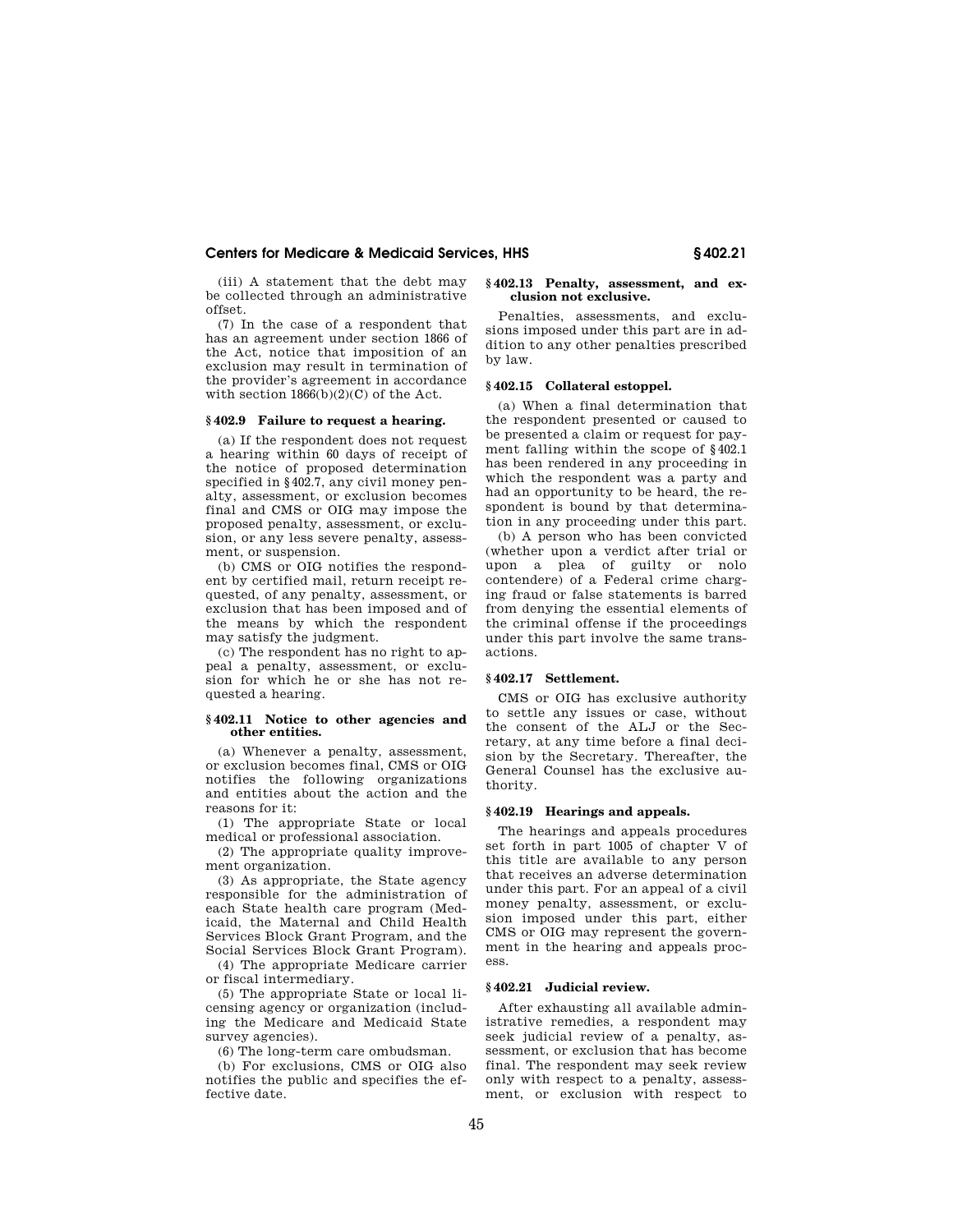(iii) A statement that the debt may be collected through an administrative offset.

(7) In the case of a respondent that has an agreement under section 1866 of the Act, notice that imposition of an exclusion may result in termination of the provider's agreement in accordance with section  $1866(b)(2)(C)$  of the Act.

### **§ 402.9 Failure to request a hearing.**

(a) If the respondent does not request a hearing within 60 days of receipt of the notice of proposed determination specified in §402.7, any civil money penalty, assessment, or exclusion becomes final and CMS or OIG may impose the proposed penalty, assessment, or exclusion, or any less severe penalty, assessment, or suspension.

(b) CMS or OIG notifies the respondent by certified mail, return receipt requested, of any penalty, assessment, or exclusion that has been imposed and of the means by which the respondent may satisfy the judgment.

(c) The respondent has no right to appeal a penalty, assessment, or exclusion for which he or she has not requested a hearing.

### **§ 402.11 Notice to other agencies and other entities.**

(a) Whenever a penalty, assessment, or exclusion becomes final, CMS or OIG notifies the following organizations and entities about the action and the reasons for it:

(1) The appropriate State or local medical or professional association.

(2) The appropriate quality improvement organization.

(3) As appropriate, the State agency responsible for the administration of each State health care program (Medicaid, the Maternal and Child Health Services Block Grant Program, and the Social Services Block Grant Program).

(4) The appropriate Medicare carrier or fiscal intermediary.

(5) The appropriate State or local licensing agency or organization (including the Medicare and Medicaid State survey agencies).

(6) The long-term care ombudsman.

(b) For exclusions, CMS or OIG also notifies the public and specifies the effective date.

## **§ 402.13 Penalty, assessment, and exclusion not exclusive.**

Penalties, assessments, and exclusions imposed under this part are in addition to any other penalties prescribed by law.

## **§ 402.15 Collateral estoppel.**

(a) When a final determination that the respondent presented or caused to be presented a claim or request for payment falling within the scope of §402.1 has been rendered in any proceeding in which the respondent was a party and had an opportunity to be heard, the respondent is bound by that determination in any proceeding under this part.

(b) A person who has been convicted (whether upon a verdict after trial or upon a plea of guilty or nolo contendere) of a Federal crime charging fraud or false statements is barred from denying the essential elements of the criminal offense if the proceedings under this part involve the same transactions.

## **§ 402.17 Settlement.**

CMS or OIG has exclusive authority to settle any issues or case, without the consent of the ALJ or the Secretary, at any time before a final decision by the Secretary. Thereafter, the General Counsel has the exclusive authority.

### **§ 402.19 Hearings and appeals.**

The hearings and appeals procedures set forth in part 1005 of chapter V of this title are available to any person that receives an adverse determination under this part. For an appeal of a civil money penalty, assessment, or exclusion imposed under this part, either CMS or OIG may represent the government in the hearing and appeals process.

## **§ 402.21 Judicial review.**

After exhausting all available administrative remedies, a respondent may seek judicial review of a penalty, assessment, or exclusion that has become final. The respondent may seek review only with respect to a penalty, assessment, or exclusion with respect to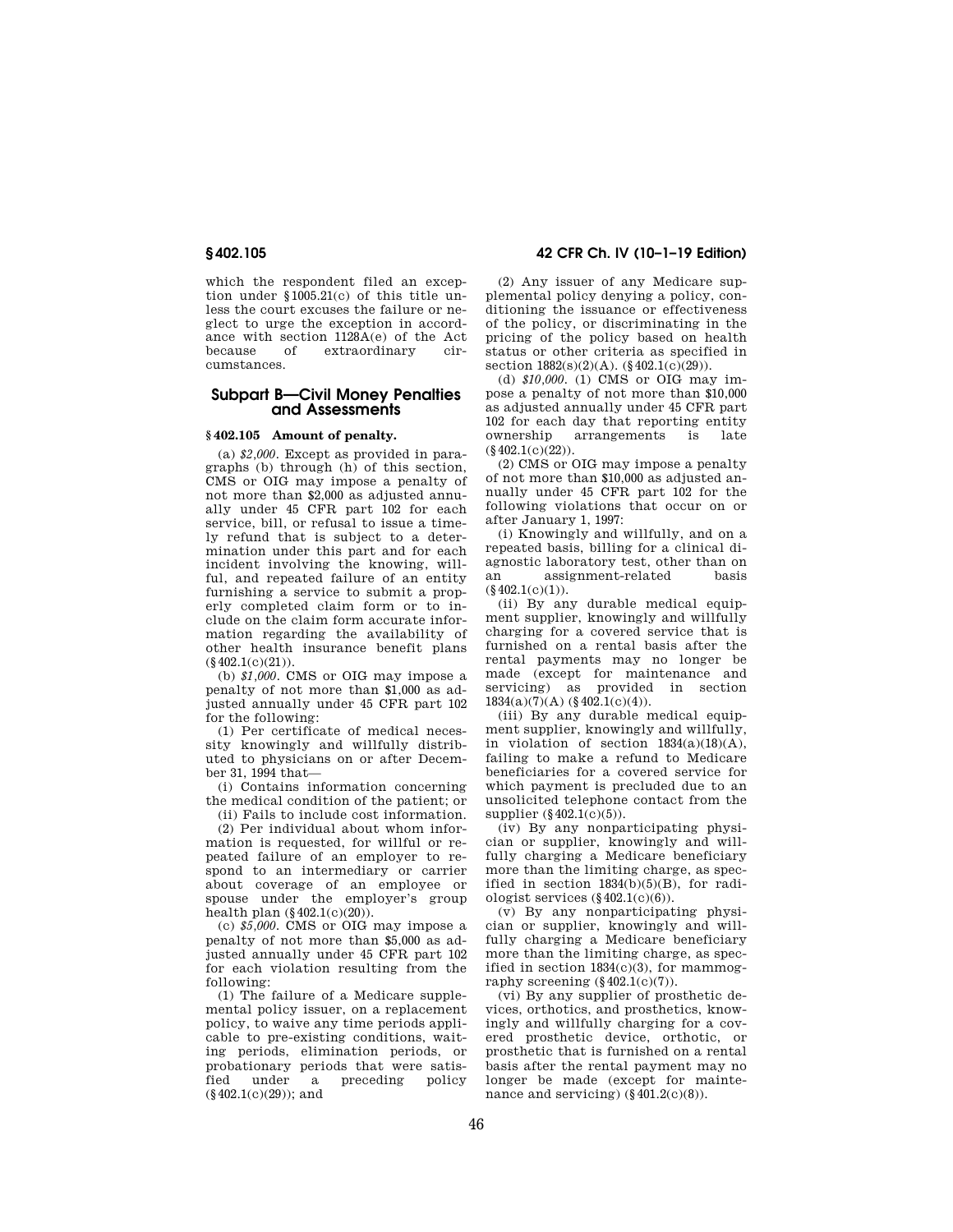which the respondent filed an exception under §1005.21(c) of this title unless the court excuses the failure or neglect to urge the exception in accordance with section 1128A(e) of the Act because of extraordinary circumstances.

# **Subpart B—Civil Money Penalties and Assessments**

## **§ 402.105 Amount of penalty.**

(a) *\$2,000.* Except as provided in paragraphs (b) through (h) of this section, CMS or OIG may impose a penalty of not more than \$2,000 as adjusted annually under 45 CFR part 102 for each service, bill, or refusal to issue a timely refund that is subject to a determination under this part and for each incident involving the knowing, willful, and repeated failure of an entity furnishing a service to submit a properly completed claim form or to include on the claim form accurate information regarding the availability of other health insurance benefit plans  $(\S 402.1(c)(21)).$ 

(b) *\$1,000.* CMS or OIG may impose a penalty of not more than \$1,000 as adjusted annually under 45 CFR part 102 for the following:

(1) Per certificate of medical necessity knowingly and willfully distributed to physicians on or after December 31, 1994 that—

(i) Contains information concerning the medical condition of the patient; or

(ii) Fails to include cost information.

(2) Per individual about whom information is requested, for willful or repeated failure of an employer to respond to an intermediary or carrier about coverage of an employee or spouse under the employer's group health plan (§402.1(c)(20)).

(c) *\$5,000.* CMS or OIG may impose a penalty of not more than \$5,000 as adjusted annually under 45 CFR part 102 for each violation resulting from the following:

(1) The failure of a Medicare supplemental policy issuer, on a replacement policy, to waive any time periods applicable to pre-existing conditions, waiting periods, elimination periods, or probationary periods that were satisfied under a preceding policy  $(8402.1(c)(29))$ ; and

**§ 402.105 42 CFR Ch. IV (10–1–19 Edition)** 

(2) Any issuer of any Medicare supplemental policy denying a policy, conditioning the issuance or effectiveness of the policy, or discriminating in the pricing of the policy based on health status or other criteria as specified in section  $1882(s)(2)(A)$ . (§ 402.1(c)(29)).

(d) *\$10,000.* (1) CMS or OIG may impose a penalty of not more than \$10,000 as adjusted annually under 45 CFR part 102 for each day that reporting entity<br>
ownership sarrangements is late arrangements  $(§402.1(c)(22))$ .

(2) CMS or OIG may impose a penalty of not more than \$10,000 as adjusted annually under 45 CFR part 102 for the following violations that occur on or after January 1, 1997:

(i) Knowingly and willfully, and on a repeated basis, billing for a clinical diagnostic laboratory test, other than on assignment-related  $(\S 402.1(c)(1)).$ 

(ii) By any durable medical equipment supplier, knowingly and willfully charging for a covered service that is furnished on a rental basis after the rental payments may no longer be made (except for maintenance and servicing) as provided in section  $1834(a)(7)(A)$  (§ 402.1(c)(4)).

(iii) By any durable medical equipment supplier, knowingly and willfully, in violation of section  $1834(a)(18)(A)$ , failing to make a refund to Medicare beneficiaries for a covered service for which payment is precluded due to an unsolicited telephone contact from the supplier  $(\S 402.1(c)(5))$ .

(iv) By any nonparticipating physician or supplier, knowingly and willfully charging a Medicare beneficiary more than the limiting charge, as specified in section  $1834(b)(5)(B)$ , for radiologist services  $(\S 402.1(c)(6))$ .

(v) By any nonparticipating physician or supplier, knowingly and willfully charging a Medicare beneficiary more than the limiting charge, as specified in section  $1834(c)(3)$ , for mammography screening  $(\S 402.1(c)(7))$ .

(vi) By any supplier of prosthetic devices, orthotics, and prosthetics, knowingly and willfully charging for a covered prosthetic device, orthotic, or prosthetic that is furnished on a rental basis after the rental payment may no longer be made (except for maintenance and servicing)  $(\S 401.2(c)(8))$ .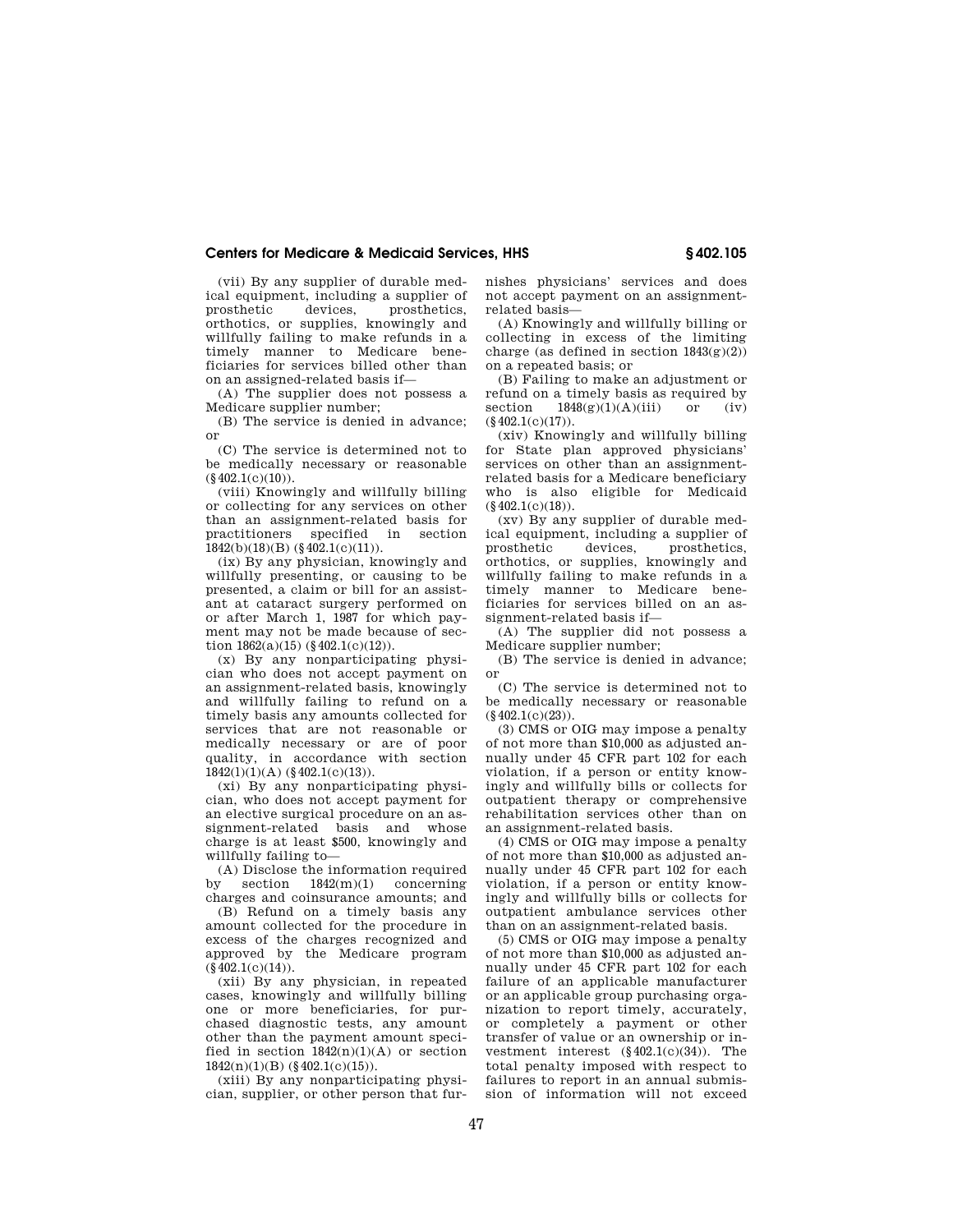(vii) By any supplier of durable medical equipment, including a supplier of prosthetic devices, prosthetics, orthotics, or supplies, knowingly and willfully failing to make refunds in a timely manner to Medicare beneficiaries for services billed other than on an assigned-related basis if—

(A) The supplier does not possess a Medicare supplier number;

(B) The service is denied in advance; or

(C) The service is determined not to be medically necessary or reasonable  $(8402.1(c)(10))$ .

(viii) Knowingly and willfully billing or collecting for any services on other than an assignment-related basis for practitioners specified in section  $1842(b)(18)(B)$  (§402.1(c)(11)).

(ix) By any physician, knowingly and willfully presenting, or causing to be presented, a claim or bill for an assistant at cataract surgery performed on or after March 1, 1987 for which payment may not be made because of section  $1862(a)(15)$  (§ 402.1(c)(12)).

(x) By any nonparticipating physician who does not accept payment on an assignment-related basis, knowingly and willfully failing to refund on a timely basis any amounts collected for services that are not reasonable or medically necessary or are of poor quality, in accordance with section 1842(l)(1)(A) (§402.1(c)(13)).

(xi) By any nonparticipating physician, who does not accept payment for an elective surgical procedure on an assignment-related basis and whose charge is at least \$500, knowingly and willfully failing to-

(A) Disclose the information required<br>by section  $1842(m)(1)$  concerning section  $1842(m)(1)$  concerning charges and coinsurance amounts; and

(B) Refund on a timely basis any amount collected for the procedure in excess of the charges recognized and approved by the Medicare program  $(\$402.1(c)(14)).$ 

(xii) By any physician, in repeated cases, knowingly and willfully billing one or more beneficiaries, for purchased diagnostic tests, any amount other than the payment amount specified in section  $1842(n)(1)(A)$  or section  $1842(n)(1)(B)$  (§ 402.1(c)(15)).

(xiii) By any nonparticipating physician, supplier, or other person that furnishes physicians' services and does not accept payment on an assignmentrelated basis—

(A) Knowingly and willfully billing or collecting in excess of the limiting charge (as defined in section  $1843(g)(2)$ ) on a repeated basis; or

(B) Failing to make an adjustment or refund on a timely basis as required by<br>section  $1848(\mathcal{P})(1)(A)(iii)$  or (iv)  $1848(g)(1)(A)(iii)$  or  $(\S 402.1(c)(17)).$ 

(xiv) Knowingly and willfully billing for State plan approved physicians' services on other than an assignmentrelated basis for a Medicare beneficiary who is also eligible for Medicaid  $(\S 402.1(c)(18))$ .

(xv) By any supplier of durable medical equipment, including a supplier of prosthetic devices, prosthetics, orthotics, or supplies, knowingly and willfully failing to make refunds in a timely manner to Medicare beneficiaries for services billed on an assignment-related basis if-

(A) The supplier did not possess a Medicare supplier number;

(B) The service is denied in advance; or

(C) The service is determined not to be medically necessary or reasonable  $(8402.1(c)(23))$ .

(3) CMS or OIG may impose a penalty of not more than \$10,000 as adjusted annually under 45 CFR part 102 for each violation, if a person or entity knowingly and willfully bills or collects for outpatient therapy or comprehensive rehabilitation services other than on an assignment-related basis.

(4) CMS or OIG may impose a penalty of not more than \$10,000 as adjusted annually under 45 CFR part 102 for each violation, if a person or entity knowingly and willfully bills or collects for outpatient ambulance services other than on an assignment-related basis.

(5) CMS or OIG may impose a penalty of not more than \$10,000 as adjusted annually under 45 CFR part 102 for each failure of an applicable manufacturer or an applicable group purchasing organization to report timely, accurately, or completely a payment or other transfer of value or an ownership or investment interest  $(\S 402.1(c)(34))$ . The total penalty imposed with respect to failures to report in an annual submission of information will not exceed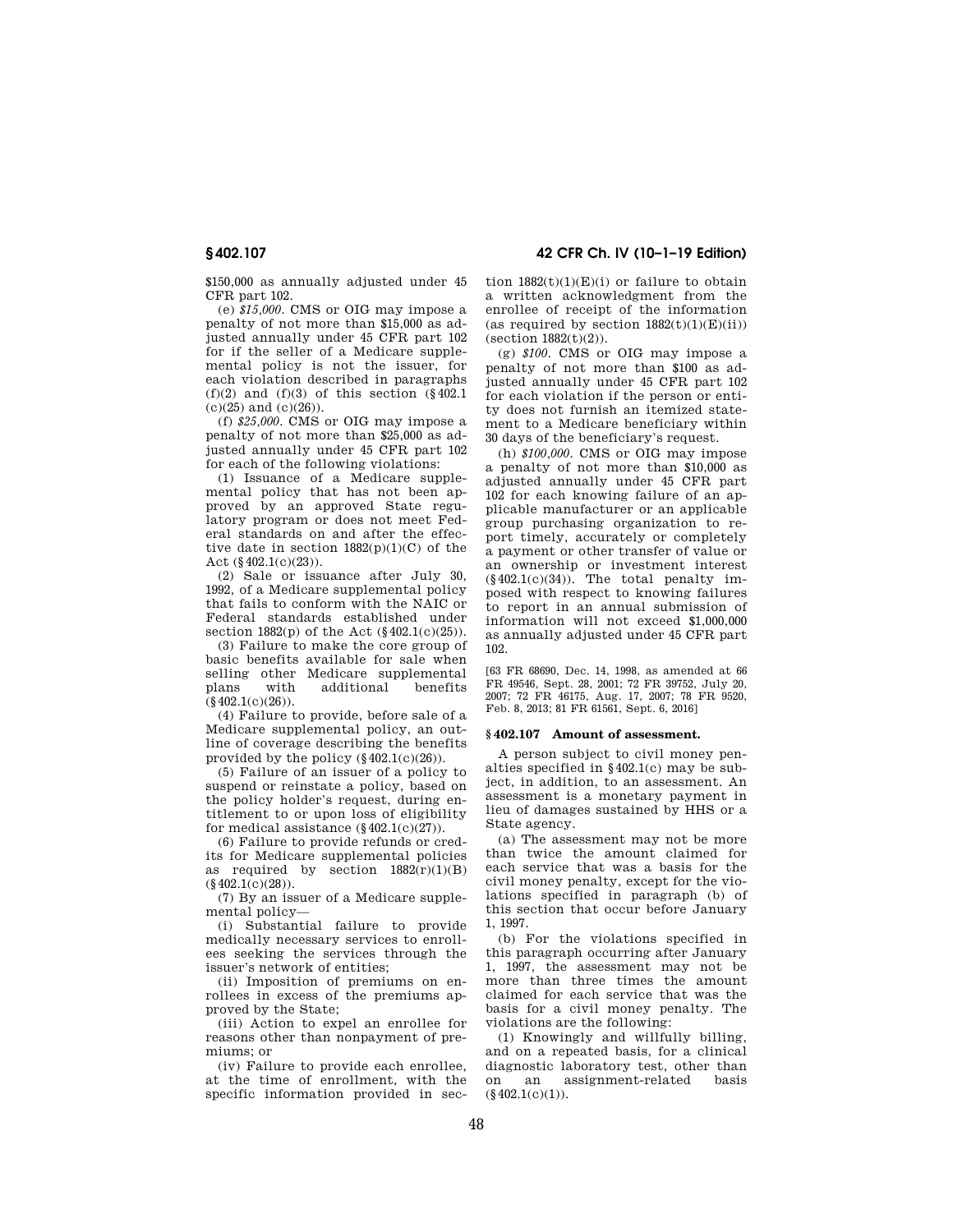**§ 402.107 42 CFR Ch. IV (10–1–19 Edition)** 

\$150,000 as annually adjusted under 45 CFR part 102.

(e) *\$15,000.* CMS or OIG may impose a penalty of not more than \$15,000 as adjusted annually under 45 CFR part 102 for if the seller of a Medicare supplemental policy is not the issuer, for each violation described in paragraphs  $(f)(2)$  and  $(f)(3)$  of this section  $(\S 402.1)$  $(c)(25)$  and  $(c)(26)$ .

(f) *\$25,000.* CMS or OIG may impose a penalty of not more than \$25,000 as adjusted annually under 45 CFR part 102 for each of the following violations:

(1) Issuance of a Medicare supplemental policy that has not been approved by an approved State regulatory program or does not meet Federal standards on and after the effective date in section  $1882(p)(1)(C)$  of the Act  $(\S 402.1(c)(23))$ .

(2) Sale or issuance after July 30, 1992, of a Medicare supplemental policy that fails to conform with the NAIC or Federal standards established under section  $1882(p)$  of the Act  $(\S 402.1(c)(25))$ .

(3) Failure to make the core group of basic benefits available for sale when selling other Medicare supplemental plans with additional benefits  $(§402.1(c)(26)).$ 

(4) Failure to provide, before sale of a Medicare supplemental policy, an outline of coverage describing the benefits provided by the policy  $(\S 402.1(c)(26))$ .

(5) Failure of an issuer of a policy to suspend or reinstate a policy, based on the policy holder's request, during entitlement to or upon loss of eligibility for medical assistance  $(8402.1(c)(27))$ .

(6) Failure to provide refunds or credits for Medicare supplemental policies as required by section  $1882(r)(1)(B)$  $(\S 402.1(c)(28)).$ 

(7) By an issuer of a Medicare supplemental policy—

(i) Substantial failure to provide medically necessary services to enrollees seeking the services through the issuer's network of entities;

(ii) Imposition of premiums on enrollees in excess of the premiums approved by the State;

(iii) Action to expel an enrollee for reasons other than nonpayment of premiums; or

(iv) Failure to provide each enrollee, at the time of enrollment, with the specific information provided in section  $1882(t)(1)(E)(i)$  or failure to obtain a written acknowledgment from the enrollee of receipt of the information (as required by section  $1882(t)(1)(E)(ii)$ )  $(\text{section }1882(t)(2)).$ 

(g) *\$100.* CMS or OIG may impose a penalty of not more than \$100 as adjusted annually under 45 CFR part 102 for each violation if the person or entity does not furnish an itemized statement to a Medicare beneficiary within 30 days of the beneficiary's request.

(h) *\$100,000.* CMS or OIG may impose a penalty of not more than \$10,000 as adjusted annually under 45 CFR part 102 for each knowing failure of an applicable manufacturer or an applicable group purchasing organization to report timely, accurately or completely a payment or other transfer of value or an ownership or investment interest  $(\S 402.1(c)(34))$ . The total penalty imposed with respect to knowing failures to report in an annual submission of information will not exceed \$1,000,000 as annually adjusted under 45 CFR part 102.

[63 FR 68690, Dec. 14, 1998, as amended at 66 FR 49546, Sept. 28, 2001; 72 FR 39752, July 20, 2007; 72 FR 46175, Aug. 17, 2007; 78 FR 9520, Feb. 8, 2013; 81 FR 61561, Sept. 6, 2016]

### **§ 402.107 Amount of assessment.**

A person subject to civil money penalties specified in §402.1(c) may be subject, in addition, to an assessment. An assessment is a monetary payment in lieu of damages sustained by HHS or a State agency.

(a) The assessment may not be more than twice the amount claimed for each service that was a basis for the civil money penalty, except for the violations specified in paragraph (b) of this section that occur before January 1, 1997.

(b) For the violations specified in this paragraph occurring after January 1, 1997, the assessment may not be more than three times the amount claimed for each service that was the basis for a civil money penalty. The violations are the following:

(1) Knowingly and willfully billing, and on a repeated basis, for a clinical diagnostic laboratory test, other than on an assignment-related basis  $(8402.1(c)(1)).$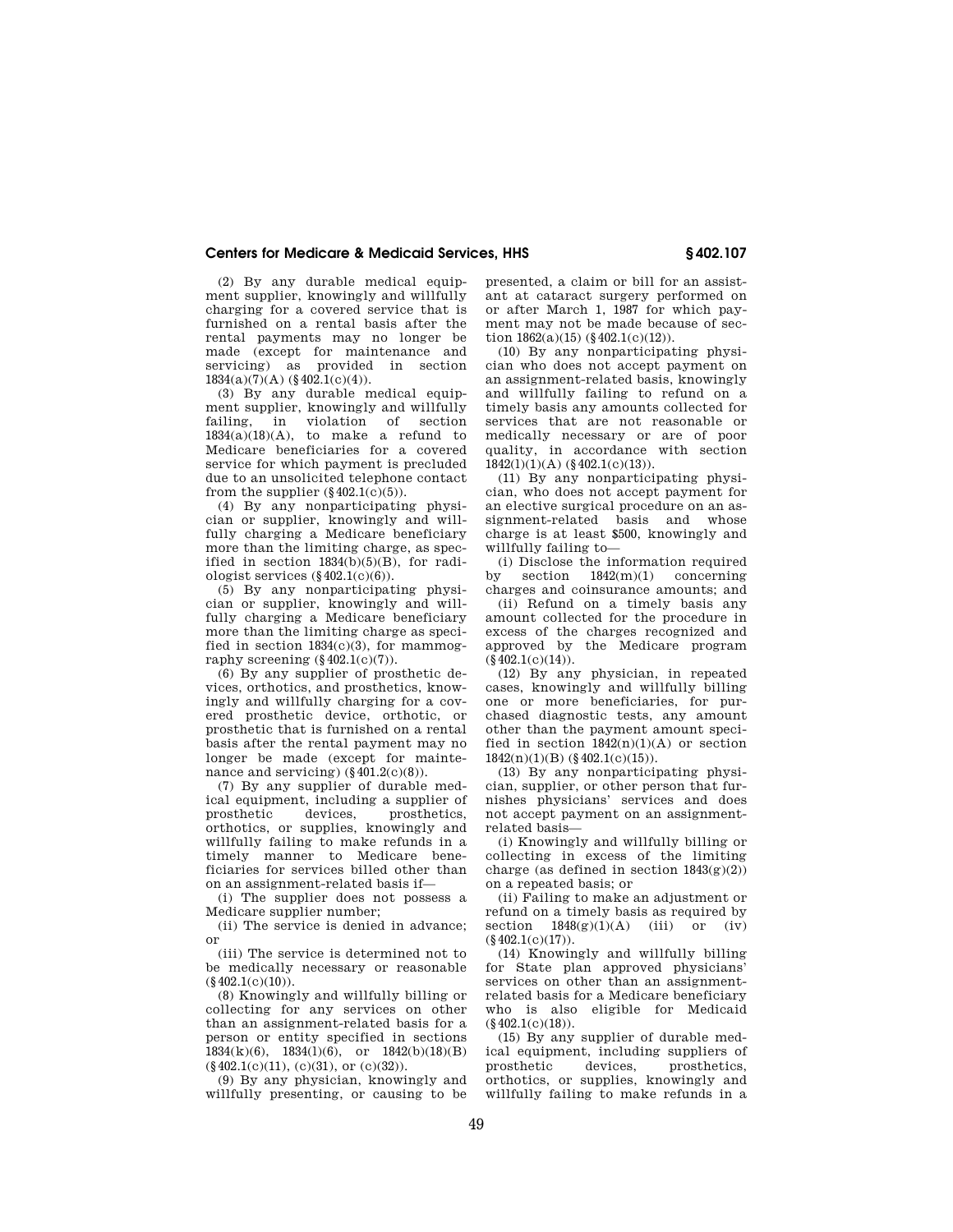(2) By any durable medical equipment supplier, knowingly and willfully charging for a covered service that is furnished on a rental basis after the rental payments may no longer be made (except for maintenance and servicing) as provided in section  $1834(a)(7)(A)$  (§ 402.1(c)(4)).

(3) By any durable medical equipment supplier, knowingly and willfully failing, in violation of section  $1834(a)(18)(A)$ , to make a refund to Medicare beneficiaries for a covered service for which payment is precluded due to an unsolicited telephone contact from the supplier  $(\S 402.1(c)(5))$ .

(4) By any nonparticipating physician or supplier, knowingly and willfully charging a Medicare beneficiary more than the limiting charge, as specified in section  $1834(b)(5)(B)$ , for radiologist services  $(\S 402.1(c)(6))$ .

(5) By any nonparticipating physician or supplier, knowingly and willfully charging a Medicare beneficiary more than the limiting charge as specified in section  $1834(c)(3)$ , for mammography screening  $(\S 402.1(c)(7))$ .

(6) By any supplier of prosthetic devices, orthotics, and prosthetics, knowingly and willfully charging for a covered prosthetic device, orthotic, or prosthetic that is furnished on a rental basis after the rental payment may no longer be made (except for maintenance and servicing)  $(\S 401.2(c)(8))$ .

(7) By any supplier of durable medical equipment, including a supplier of prosthetics, orthotics, or supplies, knowingly and willfully failing to make refunds in a timely manner to Medicare beneficiaries for services billed other than on an assignment-related basis if—

(i) The supplier does not possess a Medicare supplier number;

(ii) The service is denied in advance; or

(iii) The service is determined not to be medically necessary or reasonable  $(\S 402.1(c)(10)).$ 

(8) Knowingly and willfully billing or collecting for any services on other than an assignment-related basis for a person or entity specified in sections  $1834(k)(6)$ ,  $1834(1)(6)$ , or  $1842(b)(18)(B)$  $(\S 402.1(c)(11), (c)(31),$  or  $(c)(32)).$ 

(9) By any physician, knowingly and willfully presenting, or causing to be

presented, a claim or bill for an assistant at cataract surgery performed on or after March 1, 1987 for which payment may not be made because of section  $1862(a)(15)$  (§ 402.1(c)(12)).

(10) By any nonparticipating physician who does not accept payment on an assignment-related basis, knowingly and willfully failing to refund on a timely basis any amounts collected for services that are not reasonable or medically necessary or are of poor quality, in accordance with section 1842(l)(1)(A) (§402.1(c)(13)).

(11) By any nonparticipating physician, who does not accept payment for an elective surgical procedure on an assignment-related basis and whose charge is at least \$500, knowingly and willfully failing to-

(i) Disclose the information required<br>by section  $1842(m)(1)$  concerning section  $1842(m)(1)$  concerning charges and coinsurance amounts; and

(ii) Refund on a timely basis any amount collected for the procedure in excess of the charges recognized and approved by the Medicare program  $(8402.1(c)(14))$ .

(12) By any physician, in repeated cases, knowingly and willfully billing one or more beneficiaries, for purchased diagnostic tests, any amount other than the payment amount specified in section  $1842(n)(1)(A)$  or section  $1842(n)(1)(B)$  (§ 402.1(c)(15)).

(13) By any nonparticipating physician, supplier, or other person that furnishes physicians' services and does not accept payment on an assignmentrelated basis—

(i) Knowingly and willfully billing or collecting in excess of the limiting charge (as defined in section  $1843(g)(2)$ ) on a repeated basis; or

(ii) Failing to make an adjustment or refund on a timely basis as required by section  $1848(g)(1)(A)$  (iii) or (iv)  $(\S 402.1(c)(17)).$ 

(14) Knowingly and willfully billing for State plan approved physicians' services on other than an assignmentrelated basis for a Medicare beneficiary who is also eligible for Medicaid  $(\$402.1(c)(18)).$ 

(15) By any supplier of durable medical equipment, including suppliers of prosthetic devices, prosthetics, orthotics, or supplies, knowingly and willfully failing to make refunds in a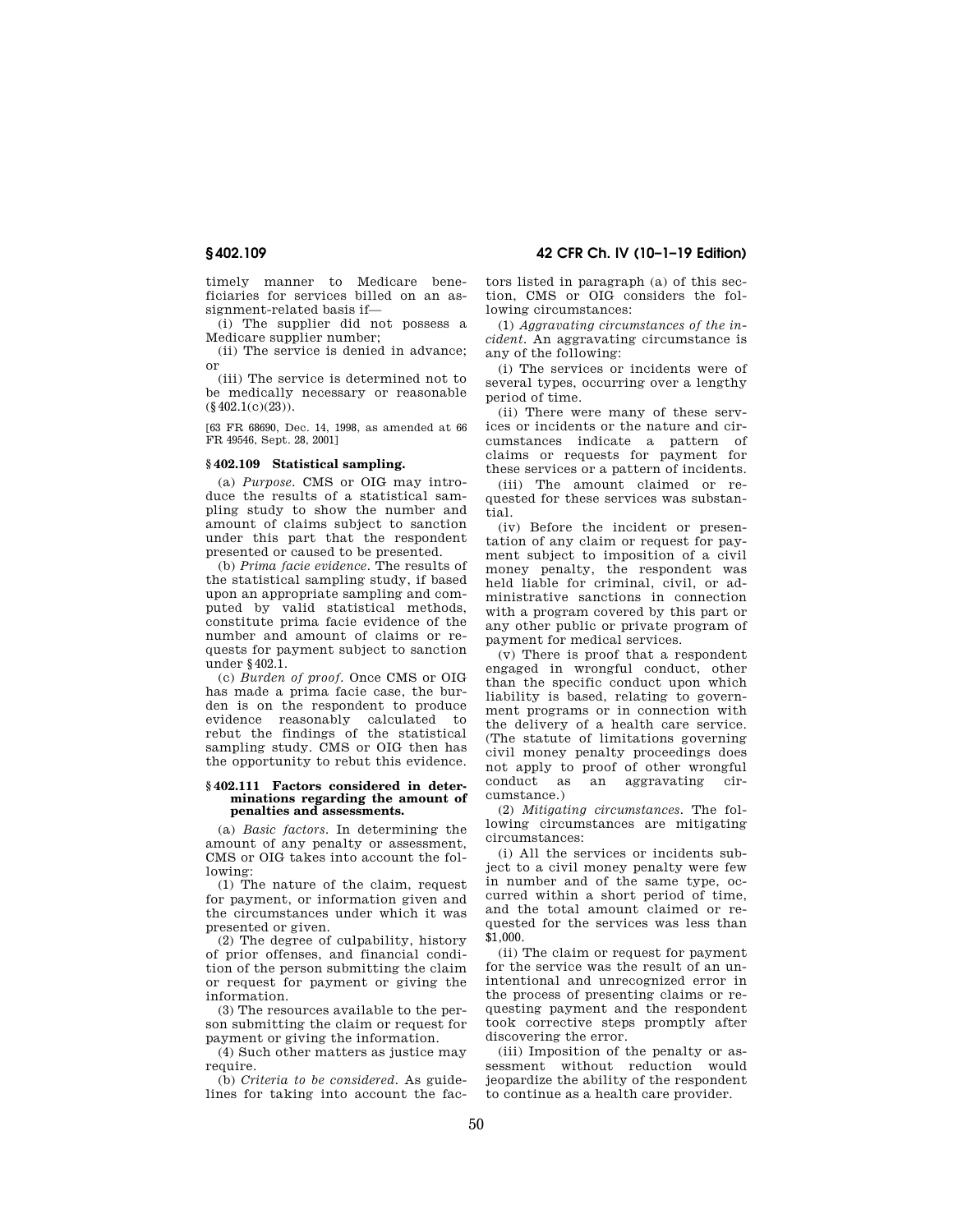timely manner to Medicare beneficiaries for services billed on an assignment-related basis if—

(i) The supplier did not possess a Medicare supplier number;

(ii) The service is denied in advance; or

(iii) The service is determined not to be medically necessary or reasonable  $(\S 402.1(c)(23))$ .

[63 FR 68690, Dec. 14, 1998, as amended at 66 FR 49546, Sept. 28, 2001]

## **§ 402.109 Statistical sampling.**

(a) *Purpose.* CMS or OIG may introduce the results of a statistical sampling study to show the number and amount of claims subject to sanction under this part that the respondent presented or caused to be presented.

(b) *Prima facie evidence.* The results of the statistical sampling study, if based upon an appropriate sampling and computed by valid statistical methods, constitute prima facie evidence of the number and amount of claims or requests for payment subject to sanction under §402.1.

(c) *Burden of proof.* Once CMS or OIG has made a prima facie case, the burden is on the respondent to produce evidence reasonably calculated to rebut the findings of the statistical sampling study. CMS or OIG then has the opportunity to rebut this evidence.

### **§ 402.111 Factors considered in determinations regarding the amount of penalties and assessments.**

(a) *Basic factors.* In determining the amount of any penalty or assessment, CMS or OIG takes into account the following:

(1) The nature of the claim, request for payment, or information given and the circumstances under which it was presented or given.

(2) The degree of culpability, history of prior offenses, and financial condition of the person submitting the claim or request for payment or giving the information.

(3) The resources available to the person submitting the claim or request for payment or giving the information.

(4) Such other matters as justice may require.

(b) *Criteria to be considered.* As guidelines for taking into account the fac-

**§ 402.109 42 CFR Ch. IV (10–1–19 Edition)** 

tors listed in paragraph (a) of this section, CMS or OIG considers the following circumstances:

(1) *Aggravating circumstances of the incident.* An aggravating circumstance is any of the following:

(i) The services or incidents were of several types, occurring over a lengthy period of time.

(ii) There were many of these services or incidents or the nature and circumstances indicate a pattern of claims or requests for payment for these services or a pattern of incidents.

(iii) The amount claimed or requested for these services was substantial.

(iv) Before the incident or presentation of any claim or request for payment subject to imposition of a civil money penalty, the respondent was held liable for criminal, civil, or administrative sanctions in connection with a program covered by this part or any other public or private program of payment for medical services.

(v) There is proof that a respondent engaged in wrongful conduct, other than the specific conduct upon which liability is based, relating to government programs or in connection with the delivery of a health care service. (The statute of limitations governing civil money penalty proceedings does not apply to proof of other wrongful conduct as an aggravating circumstance.)

(2) *Mitigating circumstances.* The following circumstances are mitigating circumstances:

(i) All the services or incidents subject to a civil money penalty were few in number and of the same type, occurred within a short period of time, and the total amount claimed or requested for the services was less than \$1,000.

(ii) The claim or request for payment for the service was the result of an unintentional and unrecognized error in the process of presenting claims or requesting payment and the respondent took corrective steps promptly after discovering the error.

(iii) Imposition of the penalty or assessment without reduction would jeopardize the ability of the respondent to continue as a health care provider.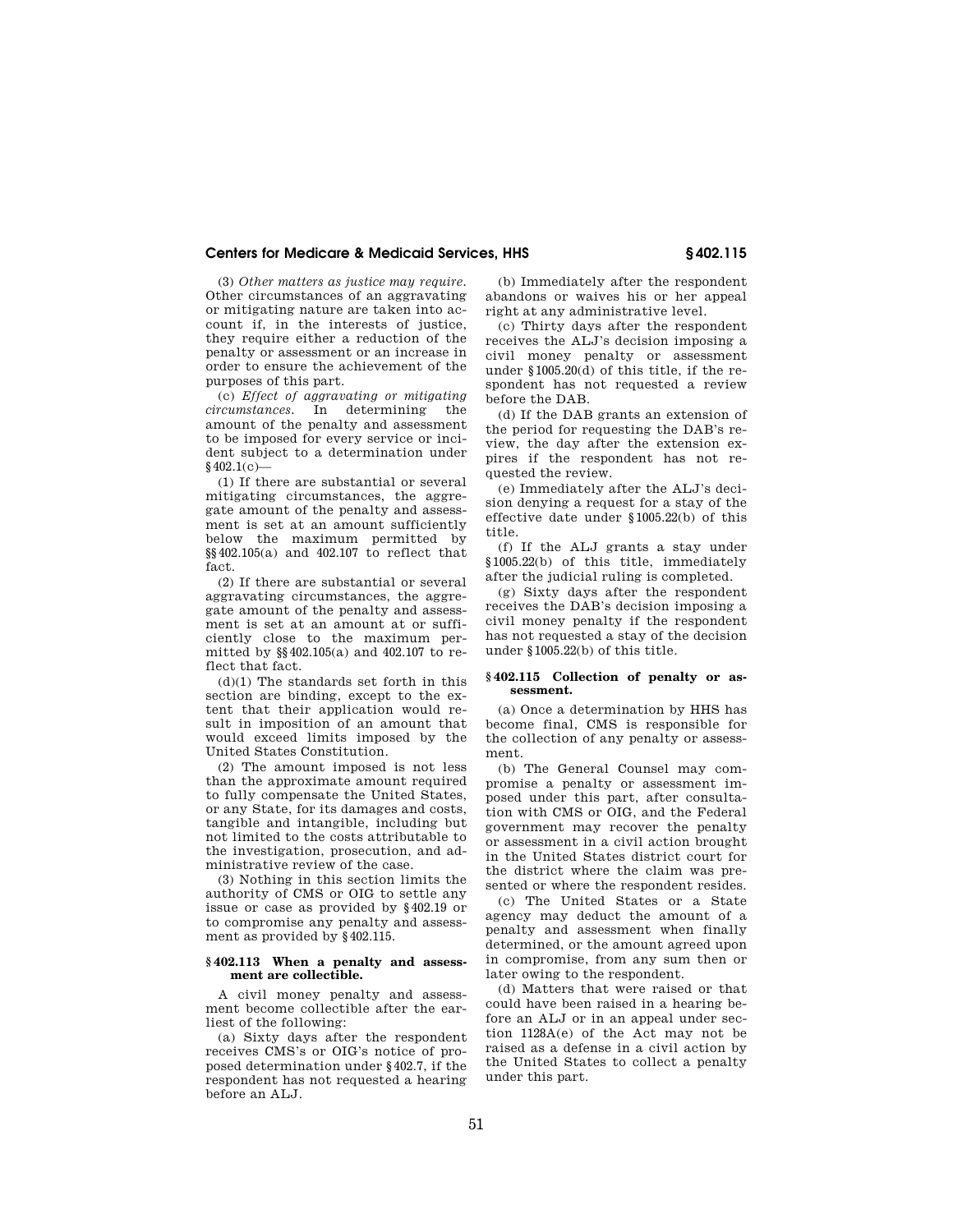(3) *Other matters as justice may require.*  Other circumstances of an aggravating or mitigating nature are taken into account if, in the interests of justice, they require either a reduction of the penalty or assessment or an increase in order to ensure the achievement of the purposes of this part.

(c) *Effect of aggravating or mitigating circumstances.* In determining the amount of the penalty and assessment to be imposed for every service or incident subject to a determination under  $§$ 402.1(c)-

(1) If there are substantial or several mitigating circumstances, the aggregate amount of the penalty and assessment is set at an amount sufficiently below the maximum permitted by §§402.105(a) and 402.107 to reflect that fact.

(2) If there are substantial or several aggravating circumstances, the aggregate amount of the penalty and assessment is set at an amount at or sufficiently close to the maximum permitted by §§402.105(a) and 402.107 to reflect that fact.

 $(d)(1)$  The standards set forth in this section are binding, except to the extent that their application would result in imposition of an amount that would exceed limits imposed by the United States Constitution.

(2) The amount imposed is not less than the approximate amount required to fully compensate the United States, or any State, for its damages and costs, tangible and intangible, including but not limited to the costs attributable to the investigation, prosecution, and administrative review of the case.

(3) Nothing in this section limits the authority of CMS or OIG to settle any issue or case as provided by §402.19 or to compromise any penalty and assessment as provided by §402.115.

### **§ 402.113 When a penalty and assessment are collectible.**

A civil money penalty and assessment become collectible after the earliest of the following:

(a) Sixty days after the respondent receives CMS's or OIG's notice of proposed determination under §402.7, if the respondent has not requested a hearing before an ALJ

(b) Immediately after the respondent abandons or waives his or her appeal right at any administrative level.

(c) Thirty days after the respondent receives the ALJ's decision imposing a civil money penalty or assessment under §1005.20(d) of this title, if the respondent has not requested a review before the DAB.

(d) If the DAB grants an extension of the period for requesting the DAB's review, the day after the extension expires if the respondent has not requested the review.

(e) Immediately after the ALJ's decision denying a request for a stay of the effective date under §1005.22(b) of this title.

(f) If the ALJ grants a stay under §1005.22(b) of this title, immediately after the judicial ruling is completed.

(g) Sixty days after the respondent receives the DAB's decision imposing a civil money penalty if the respondent has not requested a stay of the decision under §1005.22(b) of this title.

## **§ 402.115 Collection of penalty or assessment.**

(a) Once a determination by HHS has become final, CMS is responsible for the collection of any penalty or assessment.

(b) The General Counsel may compromise a penalty or assessment imposed under this part, after consultation with CMS or OIG, and the Federal government may recover the penalty or assessment in a civil action brought in the United States district court for the district where the claim was presented or where the respondent resides.

(c) The United States or a State agency may deduct the amount of a penalty and assessment when finally determined, or the amount agreed upon in compromise, from any sum then or later owing to the respondent.

(d) Matters that were raised or that could have been raised in a hearing before an ALJ or in an appeal under section 1128A(e) of the Act may not be raised as a defense in a civil action by the United States to collect a penalty under this part.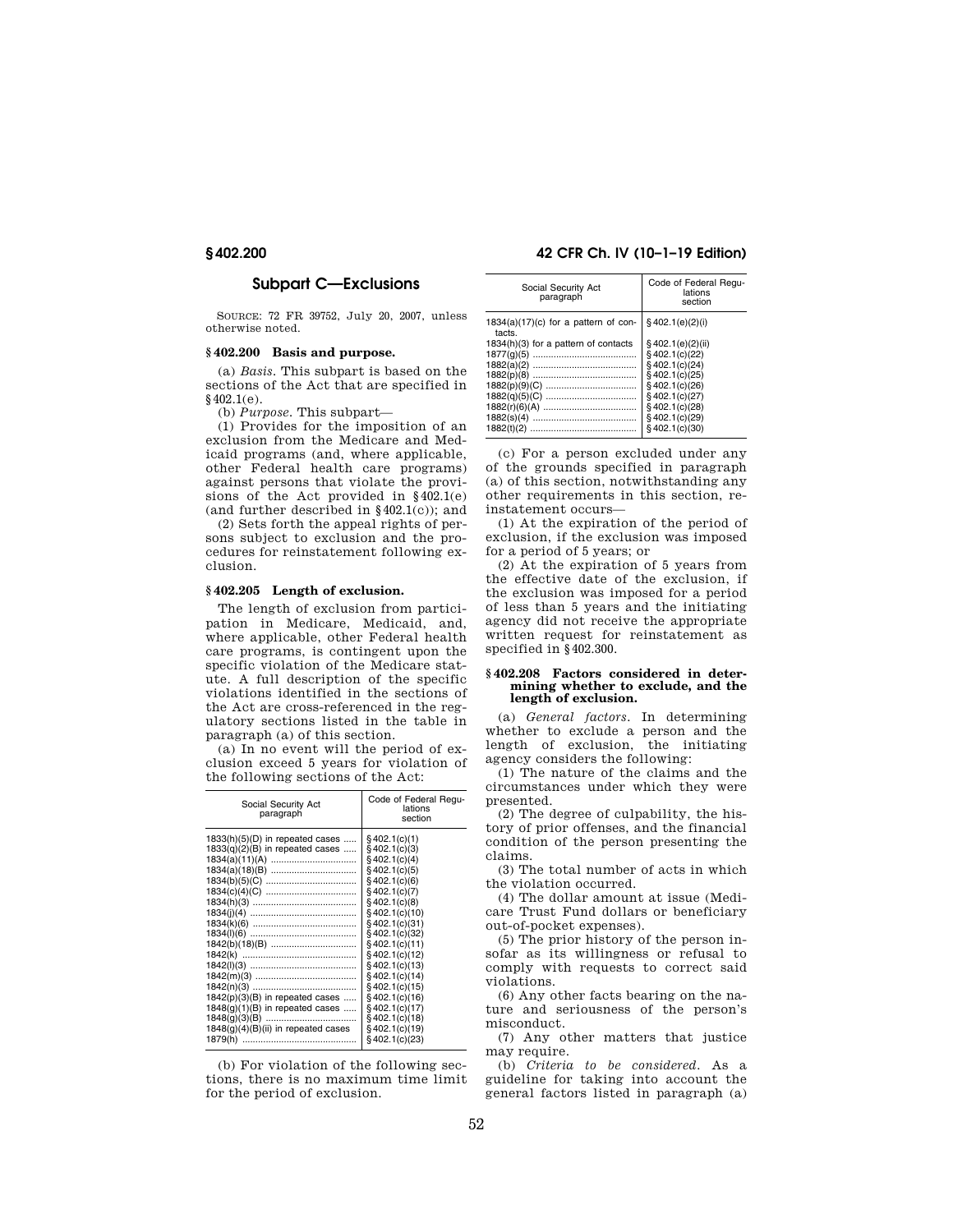# **Subpart C—Exclusions**

SOURCE: 72 FR 39752, July 20, 2007, unless otherwise noted.

## **§ 402.200 Basis and purpose.**

(a) *Basis.* This subpart is based on the sections of the Act that are specified in  $$402.1(e).$ 

(b) *Purpose.* This subpart—

(1) Provides for the imposition of an exclusion from the Medicare and Medicaid programs (and, where applicable, other Federal health care programs) against persons that violate the provisions of the Act provided in §402.1(e) (and further described in  $$402.1(c)$ ); and

(2) Sets forth the appeal rights of persons subject to exclusion and the procedures for reinstatement following exclusion.

## **§ 402.205 Length of exclusion.**

The length of exclusion from participation in Medicare, Medicaid, and, where applicable, other Federal health care programs, is contingent upon the specific violation of the Medicare statute. A full description of the specific violations identified in the sections of the Act are cross-referenced in the regulatory sections listed in the table in paragraph (a) of this section.

(a) In no event will the period of exclusion exceed 5 years for violation of the following sections of the Act:

| Social Security Act<br>paragraph                                                                                                                                                        | Code of Federal Requ-<br>lations<br>section                                                                                                                                                                                                                                                                                                                                   |
|-----------------------------------------------------------------------------------------------------------------------------------------------------------------------------------------|-------------------------------------------------------------------------------------------------------------------------------------------------------------------------------------------------------------------------------------------------------------------------------------------------------------------------------------------------------------------------------|
| $1833(h)(5)(D)$ in repeated cases<br>$1833(q)(2)(B)$ in repeated cases<br>$1842(p)(3)(B)$ in repeated cases<br>$1848(g)(1)(B)$ in repeated cases<br>1848(g)(4)(B)(ii) in repeated cases | $§$ 402.1(c)(1)<br>$§$ 402.1(c)(3)<br>\$402.1(c)(4)<br>$§$ 402.1(c)(5)<br>\$402.1(c)(6)<br>$§$ 402.1(c)(7)<br>$§$ 402.1(c)(8)<br>$§$ 402.1(c)(10)<br>$§$ 402.1(c)(31)<br>$§$ 402.1(c)(32)<br>$§$ 402.1(c)(11)<br>$§$ 402.1(c)(12)<br>$§$ 402.1(c)(13)<br>$§$ 402.1(c)(14)<br>$§$ 402.1(c)(15)<br>$§$ 402.1(c)(16)<br>$§$ 402.1(c)(17)<br>$§$ 402.1(c)(18)<br>$§$ 402.1(c)(19) |
| 1879(h)                                                                                                                                                                                 | $§$ 402.1(c)(23)                                                                                                                                                                                                                                                                                                                                                              |

(b) For violation of the following sections, there is no maximum time limit for the period of exclusion.

## **§ 402.200 42 CFR Ch. IV (10–1–19 Edition)**

| Social Security Act<br>paragraph<br>§402.1(e)(2)(i)<br>$1834(a)(17)(c)$ for a pattern of con-<br>tacts.<br>§402.1(e)(2)(ii)<br>$1834(h)(3)$ for a pattern of contacts<br>§402.1(c)(22)<br>$§$ 402.1(c)(24)<br>$§$ 402.1(c)(25)<br>$§$ 402.1(c)(26)<br>$§$ 402.1(c)(27)<br>$§$ 402.1(c)(28)<br>$§$ 402.1(c)(29)<br>§402.1(c)(30) |                                             |
|---------------------------------------------------------------------------------------------------------------------------------------------------------------------------------------------------------------------------------------------------------------------------------------------------------------------------------|---------------------------------------------|
|                                                                                                                                                                                                                                                                                                                                 | Code of Federal Requ-<br>lations<br>section |
|                                                                                                                                                                                                                                                                                                                                 |                                             |
|                                                                                                                                                                                                                                                                                                                                 |                                             |

(c) For a person excluded under any of the grounds specified in paragraph (a) of this section, notwithstanding any other requirements in this section, reinstatement occurs—

(1) At the expiration of the period of exclusion, if the exclusion was imposed for a period of 5 years; or

(2) At the expiration of 5 years from the effective date of the exclusion, if the exclusion was imposed for a period of less than 5 years and the initiating agency did not receive the appropriate written request for reinstatement as specified in §402.300.

### **§ 402.208 Factors considered in determining whether to exclude, and the length of exclusion.**

(a) *General factors.* In determining whether to exclude a person and the length of exclusion, the initiating agency considers the following:

(1) The nature of the claims and the circumstances under which they were presented.

(2) The degree of culpability, the history of prior offenses, and the financial condition of the person presenting the claims.

(3) The total number of acts in which the violation occurred.

(4) The dollar amount at issue (Medicare Trust Fund dollars or beneficiary out-of-pocket expenses).

(5) The prior history of the person insofar as its willingness or refusal to comply with requests to correct said violations.

(6) Any other facts bearing on the nature and seriousness of the person's misconduct.

(7) Any other matters that justice may require.

(b) *Criteria to be considered.* As a guideline for taking into account the general factors listed in paragraph (a)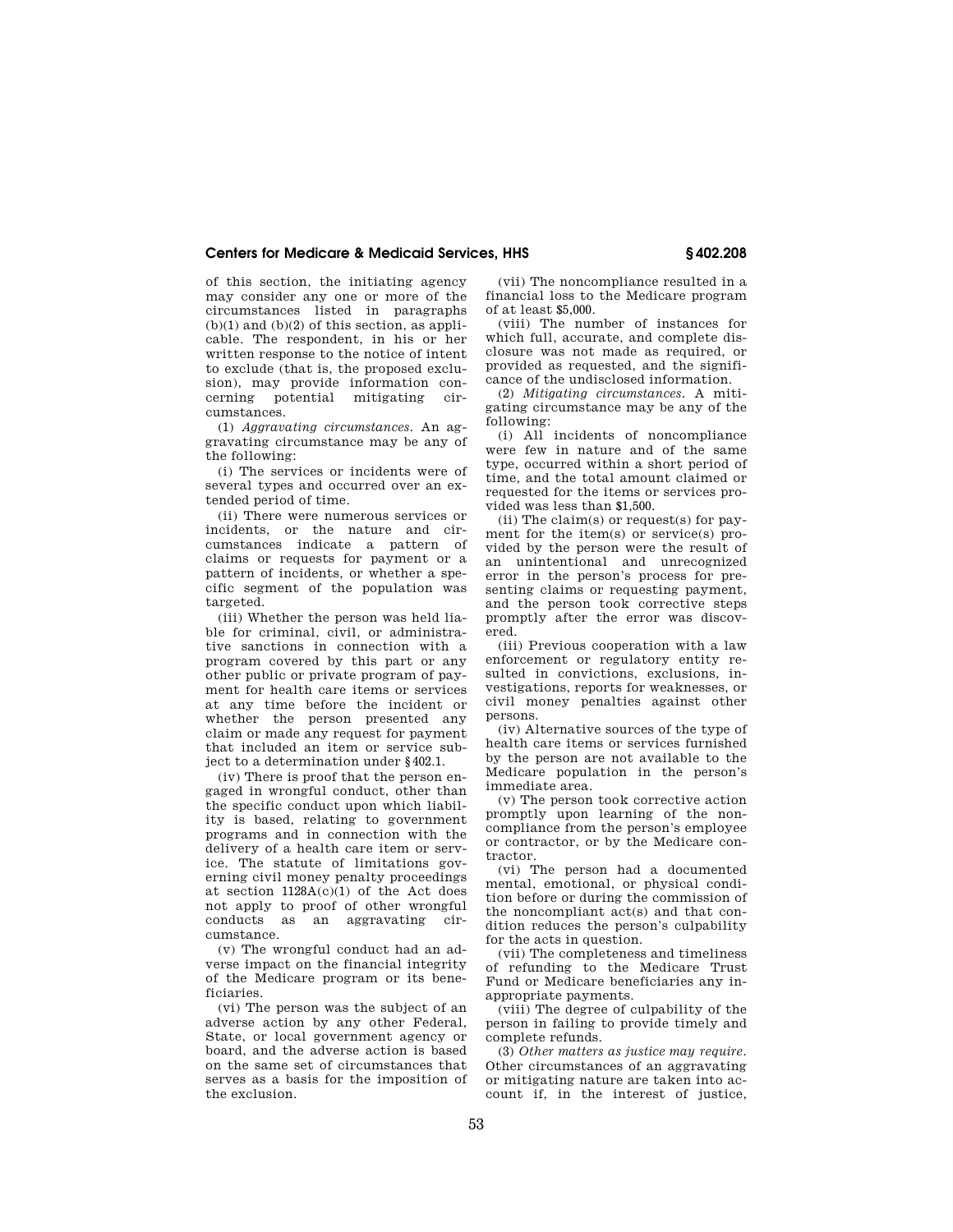of this section, the initiating agency may consider any one or more of the circumstances listed in paragraphs  $(b)(1)$  and  $(b)(2)$  of this section, as applicable. The respondent, in his or her written response to the notice of intent to exclude (that is, the proposed exclusion), may provide information concerning potential mitigating circumstances.

(1) *Aggravating circumstances.* An aggravating circumstance may be any of the following:

(i) The services or incidents were of several types and occurred over an extended period of time.

(ii) There were numerous services or incidents, or the nature and circumstances indicate a pattern of claims or requests for payment or a pattern of incidents, or whether a specific segment of the population was targeted.

(iii) Whether the person was held liable for criminal, civil, or administrative sanctions in connection with a program covered by this part or any other public or private program of payment for health care items or services at any time before the incident or whether the person presented any claim or made any request for payment that included an item or service subject to a determination under §402.1.

(iv) There is proof that the person engaged in wrongful conduct, other than the specific conduct upon which liability is based, relating to government programs and in connection with the delivery of a health care item or service. The statute of limitations governing civil money penalty proceedings at section 1128A(c)(1) of the Act does not apply to proof of other wrongful conducts as an aggravating circumstance.

(v) The wrongful conduct had an adverse impact on the financial integrity of the Medicare program or its beneficiaries.

(vi) The person was the subject of an adverse action by any other Federal, State, or local government agency or board, and the adverse action is based on the same set of circumstances that serves as a basis for the imposition of the exclusion.

(vii) The noncompliance resulted in a financial loss to the Medicare program of at least \$5,000.

(viii) The number of instances for which full, accurate, and complete disclosure was not made as required, or provided as requested, and the significance of the undisclosed information.

(2) *Mitigating circumstances.* A mitigating circumstance may be any of the following:

(i) All incidents of noncompliance were few in nature and of the same type, occurred within a short period of time, and the total amount claimed or requested for the items or services provided was less than \$1,500.

(ii) The claim(s) or request(s) for payment for the item(s) or service(s) provided by the person were the result of an unintentional and unrecognized error in the person's process for presenting claims or requesting payment, and the person took corrective steps promptly after the error was discovered.

(iii) Previous cooperation with a law enforcement or regulatory entity resulted in convictions, exclusions, investigations, reports for weaknesses, or civil money penalties against other persons.

(iv) Alternative sources of the type of health care items or services furnished by the person are not available to the Medicare population in the person's immediate area.

(v) The person took corrective action promptly upon learning of the noncompliance from the person's employee or contractor, or by the Medicare contractor.

(vi) The person had a documented mental, emotional, or physical condition before or during the commission of the noncompliant act(s) and that condition reduces the person's culpability for the acts in question.

(vii) The completeness and timeliness of refunding to the Medicare Trust Fund or Medicare beneficiaries any inappropriate payments.

(viii) The degree of culpability of the person in failing to provide timely and complete refunds.

(3) *Other matters as justice may require.*  Other circumstances of an aggravating or mitigating nature are taken into account if, in the interest of justice,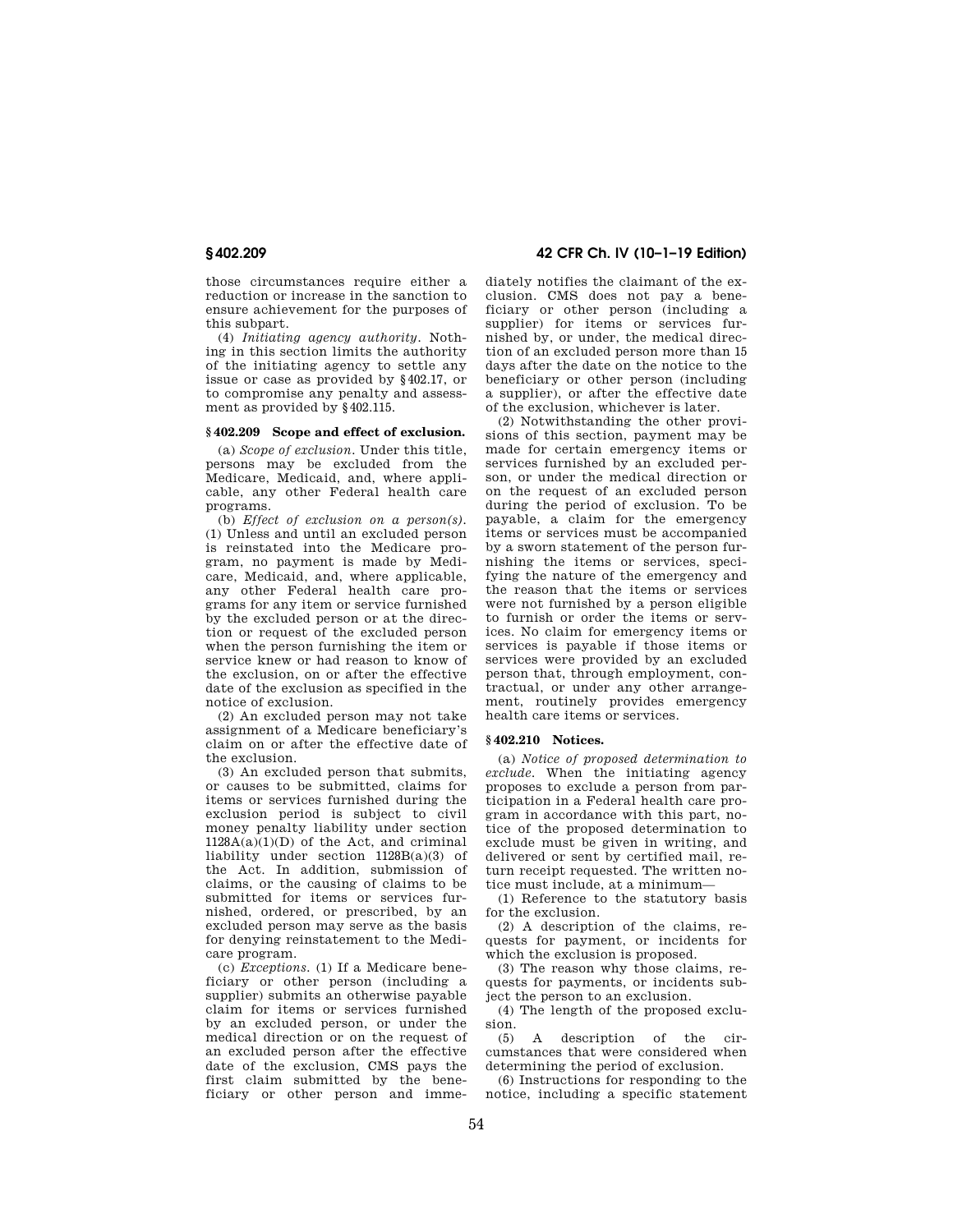those circumstances require either a reduction or increase in the sanction to ensure achievement for the purposes of this subpart.

(4) *Initiating agency authority.* Nothing in this section limits the authority of the initiating agency to settle any issue or case as provided by §402.17, or to compromise any penalty and assessment as provided by §402.115.

## **§ 402.209 Scope and effect of exclusion.**

(a) *Scope of exclusion.* Under this title, persons may be excluded from the Medicare, Medicaid, and, where applicable, any other Federal health care programs.

(b) *Effect of exclusion on a person(s).*  (1) Unless and until an excluded person is reinstated into the Medicare program, no payment is made by Medicare, Medicaid, and, where applicable, any other Federal health care programs for any item or service furnished by the excluded person or at the direction or request of the excluded person when the person furnishing the item or service knew or had reason to know of the exclusion, on or after the effective date of the exclusion as specified in the notice of exclusion.

(2) An excluded person may not take assignment of a Medicare beneficiary's claim on or after the effective date of the exclusion.

(3) An excluded person that submits, or causes to be submitted, claims for items or services furnished during the exclusion period is subject to civil money penalty liability under section  $1128A(a)(1)(D)$  of the Act, and criminal liability under section 1128B(a)(3) of the Act. In addition, submission of claims, or the causing of claims to be submitted for items or services furnished, ordered, or prescribed, by an excluded person may serve as the basis for denying reinstatement to the Medicare program.

(c) *Exceptions.* (1) If a Medicare beneficiary or other person (including a supplier) submits an otherwise payable claim for items or services furnished by an excluded person, or under the medical direction or on the request of an excluded person after the effective date of the exclusion, CMS pays the first claim submitted by the beneficiary or other person and imme-

# **§ 402.209 42 CFR Ch. IV (10–1–19 Edition)**

diately notifies the claimant of the exclusion. CMS does not pay a beneficiary or other person (including a supplier) for items or services furnished by, or under, the medical direction of an excluded person more than 15 days after the date on the notice to the beneficiary or other person (including a supplier), or after the effective date of the exclusion, whichever is later.

(2) Notwithstanding the other provisions of this section, payment may be made for certain emergency items or services furnished by an excluded person, or under the medical direction or on the request of an excluded person during the period of exclusion. To be payable, a claim for the emergency items or services must be accompanied by a sworn statement of the person furnishing the items or services, specifying the nature of the emergency and the reason that the items or services were not furnished by a person eligible to furnish or order the items or services. No claim for emergency items or services is payable if those items or services were provided by an excluded person that, through employment, contractual, or under any other arrangement, routinely provides emergency health care items or services.

## **§ 402.210 Notices.**

(a) *Notice of proposed determination to exclude.* When the initiating agency proposes to exclude a person from participation in a Federal health care program in accordance with this part, notice of the proposed determination to exclude must be given in writing, and delivered or sent by certified mail, return receipt requested. The written notice must include, at a minimum—

(1) Reference to the statutory basis for the exclusion.

(2) A description of the claims, requests for payment, or incidents for which the exclusion is proposed.

(3) The reason why those claims, requests for payments, or incidents subject the person to an exclusion.

(4) The length of the proposed exclusion.

(5) A description of the circumstances that were considered when determining the period of exclusion.

(6) Instructions for responding to the notice, including a specific statement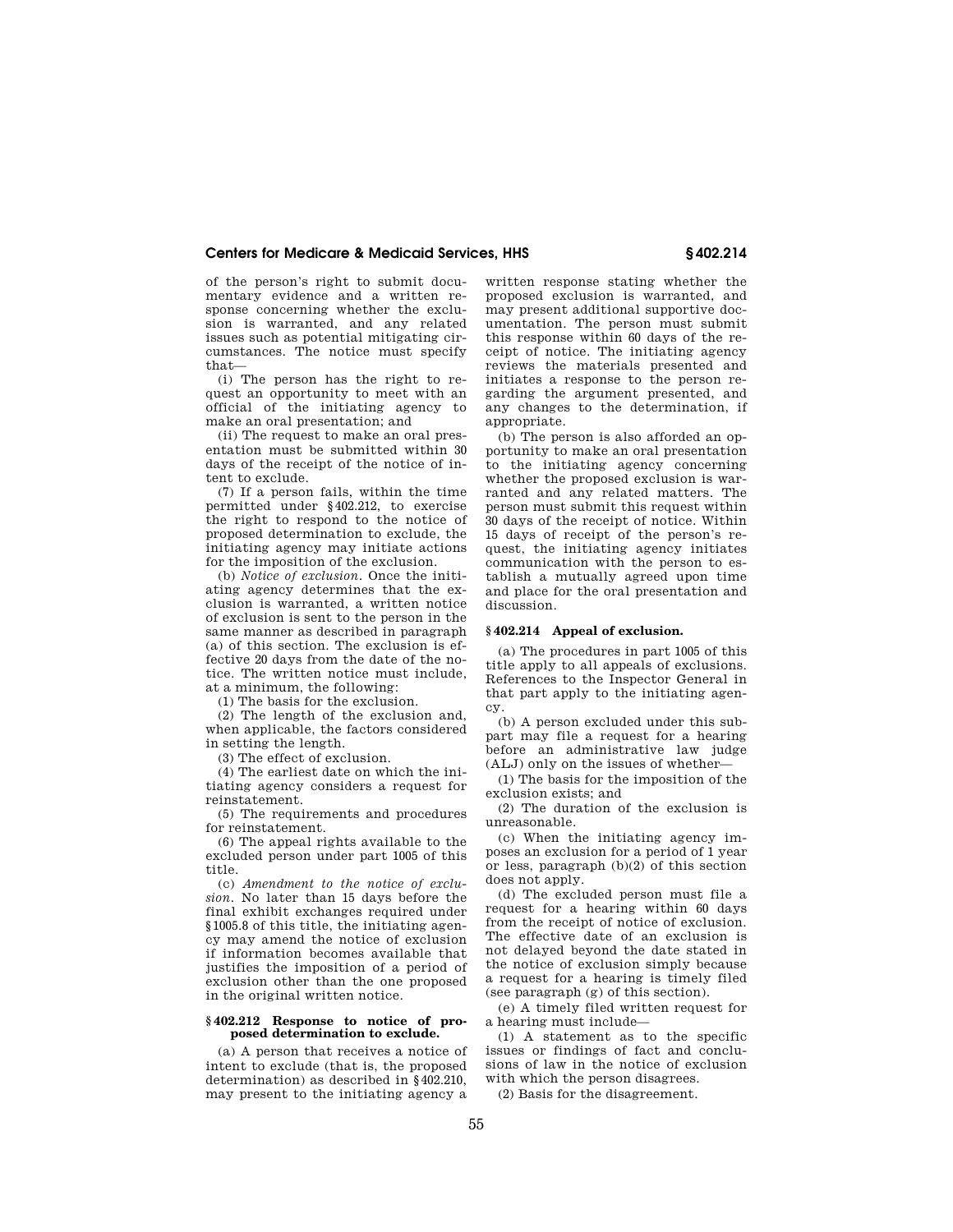of the person's right to submit documentary evidence and a written response concerning whether the exclusion is warranted, and any related issues such as potential mitigating circumstances. The notice must specify that—

(i) The person has the right to request an opportunity to meet with an official of the initiating agency to make an oral presentation; and

(ii) The request to make an oral presentation must be submitted within 30 days of the receipt of the notice of intent to exclude.

(7) If a person fails, within the time permitted under §402.212, to exercise the right to respond to the notice of proposed determination to exclude, the initiating agency may initiate actions for the imposition of the exclusion.

(b) *Notice of exclusion.* Once the initiating agency determines that the exclusion is warranted, a written notice of exclusion is sent to the person in the same manner as described in paragraph (a) of this section. The exclusion is effective 20 days from the date of the notice. The written notice must include, at a minimum, the following:

(1) The basis for the exclusion.

(2) The length of the exclusion and, when applicable, the factors considered in setting the length.

(3) The effect of exclusion.

(4) The earliest date on which the initiating agency considers a request for reinstatement.

(5) The requirements and procedures for reinstatement.

(6) The appeal rights available to the excluded person under part 1005 of this title.

(c) *Amendment to the notice of exclusion.* No later than 15 days before the final exhibit exchanges required under §1005.8 of this title, the initiating agency may amend the notice of exclusion if information becomes available that justifies the imposition of a period of exclusion other than the one proposed in the original written notice.

## **§ 402.212 Response to notice of proposed determination to exclude.**

(a) A person that receives a notice of intent to exclude (that is, the proposed determination) as described in §402.210, may present to the initiating agency a

written response stating whether the proposed exclusion is warranted, and may present additional supportive documentation. The person must submit this response within 60 days of the receipt of notice. The initiating agency reviews the materials presented and initiates a response to the person regarding the argument presented, and any changes to the determination, if appropriate.

(b) The person is also afforded an opportunity to make an oral presentation to the initiating agency concerning whether the proposed exclusion is warranted and any related matters. The person must submit this request within 30 days of the receipt of notice. Within 15 days of receipt of the person's request, the initiating agency initiates communication with the person to establish a mutually agreed upon time and place for the oral presentation and discussion.

## **§ 402.214 Appeal of exclusion.**

(a) The procedures in part 1005 of this title apply to all appeals of exclusions. References to the Inspector General in that part apply to the initiating agency.

(b) A person excluded under this subpart may file a request for a hearing before an administrative law judge (ALJ) only on the issues of whether—

(1) The basis for the imposition of the exclusion exists; and

(2) The duration of the exclusion is unreasonable.

(c) When the initiating agency imposes an exclusion for a period of 1 year or less, paragraph (b)(2) of this section does not apply.

(d) The excluded person must file a request for a hearing within 60 days from the receipt of notice of exclusion. The effective date of an exclusion is not delayed beyond the date stated in the notice of exclusion simply because a request for a hearing is timely filed (see paragraph (g) of this section).

(e) A timely filed written request for a hearing must include—

(1) A statement as to the specific issues or findings of fact and conclusions of law in the notice of exclusion with which the person disagrees.

(2) Basis for the disagreement.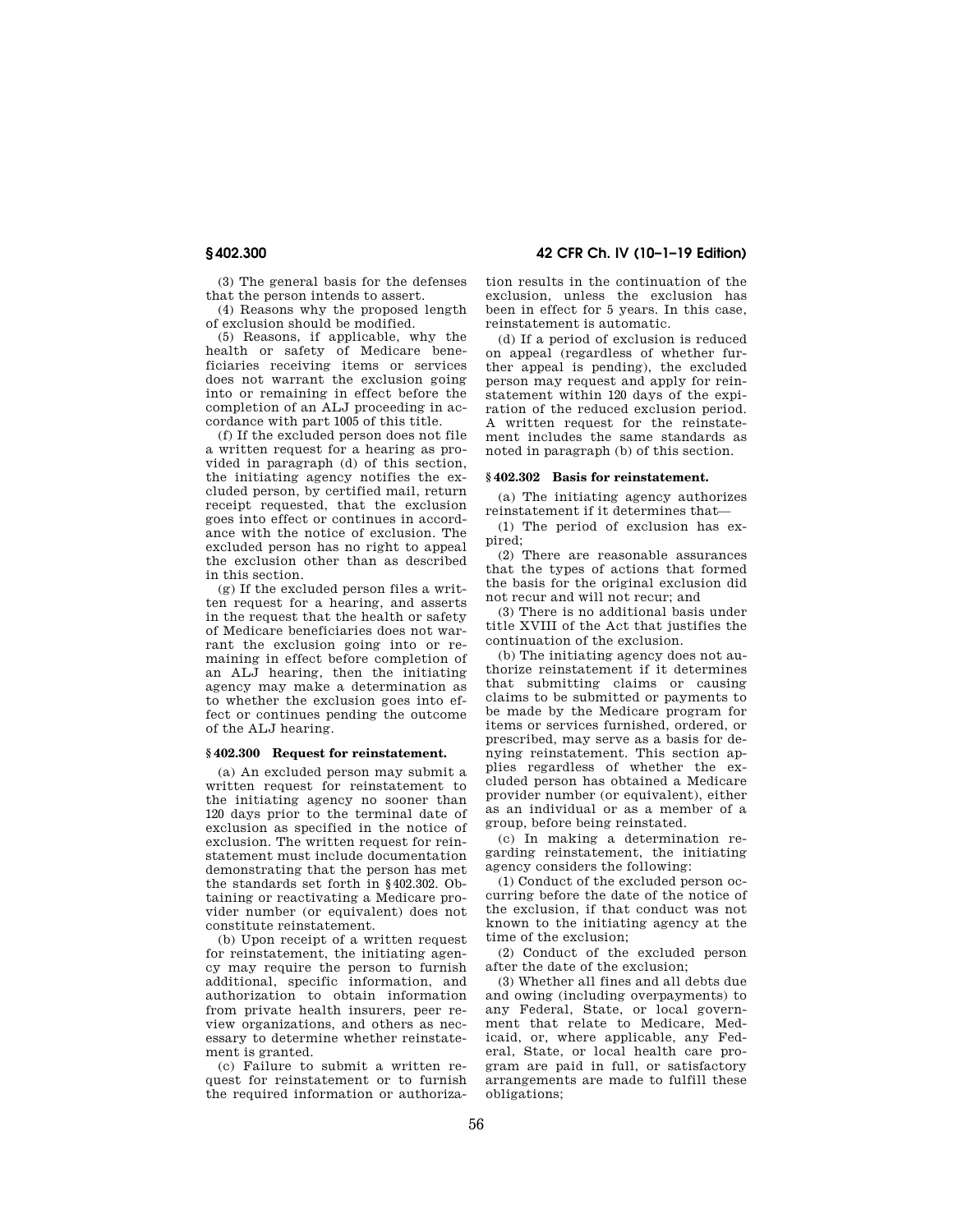**§ 402.300 42 CFR Ch. IV (10–1–19 Edition)** 

(3) The general basis for the defenses that the person intends to assert.

(4) Reasons why the proposed length of exclusion should be modified.

(5) Reasons, if applicable, why the health or safety of Medicare beneficiaries receiving items or services does not warrant the exclusion going into or remaining in effect before the completion of an ALJ proceeding in accordance with part 1005 of this title.

(f) If the excluded person does not file a written request for a hearing as provided in paragraph (d) of this section, the initiating agency notifies the excluded person, by certified mail, return receipt requested, that the exclusion goes into effect or continues in accordance with the notice of exclusion. The excluded person has no right to appeal the exclusion other than as described in this section.

(g) If the excluded person files a written request for a hearing, and asserts in the request that the health or safety of Medicare beneficiaries does not warrant the exclusion going into or remaining in effect before completion of an ALJ hearing, then the initiating agency may make a determination as to whether the exclusion goes into effect or continues pending the outcome of the ALJ hearing.

## **§ 402.300 Request for reinstatement.**

(a) An excluded person may submit a written request for reinstatement to the initiating agency no sooner than 120 days prior to the terminal date of exclusion as specified in the notice of exclusion. The written request for reinstatement must include documentation demonstrating that the person has met the standards set forth in §402.302. Obtaining or reactivating a Medicare provider number (or equivalent) does not constitute reinstatement.

(b) Upon receipt of a written request for reinstatement, the initiating agency may require the person to furnish additional, specific information, and authorization to obtain information from private health insurers, peer review organizations, and others as necessary to determine whether reinstatement is granted.

(c) Failure to submit a written request for reinstatement or to furnish the required information or authorization results in the continuation of the exclusion, unless the exclusion has been in effect for 5 years. In this case, reinstatement is automatic.

(d) If a period of exclusion is reduced on appeal (regardless of whether further appeal is pending), the excluded person may request and apply for reinstatement within 120 days of the expiration of the reduced exclusion period. A written request for the reinstatement includes the same standards as noted in paragraph (b) of this section.

## **§ 402.302 Basis for reinstatement.**

(a) The initiating agency authorizes reinstatement if it determines that—

(1) The period of exclusion has expired;

(2) There are reasonable assurances that the types of actions that formed the basis for the original exclusion did not recur and will not recur; and

(3) There is no additional basis under title XVIII of the Act that justifies the continuation of the exclusion.

(b) The initiating agency does not authorize reinstatement if it determines that submitting claims or causing claims to be submitted or payments to be made by the Medicare program for items or services furnished, ordered, or prescribed, may serve as a basis for denying reinstatement. This section applies regardless of whether the excluded person has obtained a Medicare provider number (or equivalent), either as an individual or as a member of a group, before being reinstated.

(c) In making a determination regarding reinstatement, the initiating agency considers the following:

(1) Conduct of the excluded person occurring before the date of the notice of the exclusion, if that conduct was not known to the initiating agency at the time of the exclusion;

(2) Conduct of the excluded person after the date of the exclusion;

(3) Whether all fines and all debts due and owing (including overpayments) to any Federal, State, or local government that relate to Medicare, Medicaid, or, where applicable, any Federal, State, or local health care program are paid in full, or satisfactory arrangements are made to fulfill these obligations;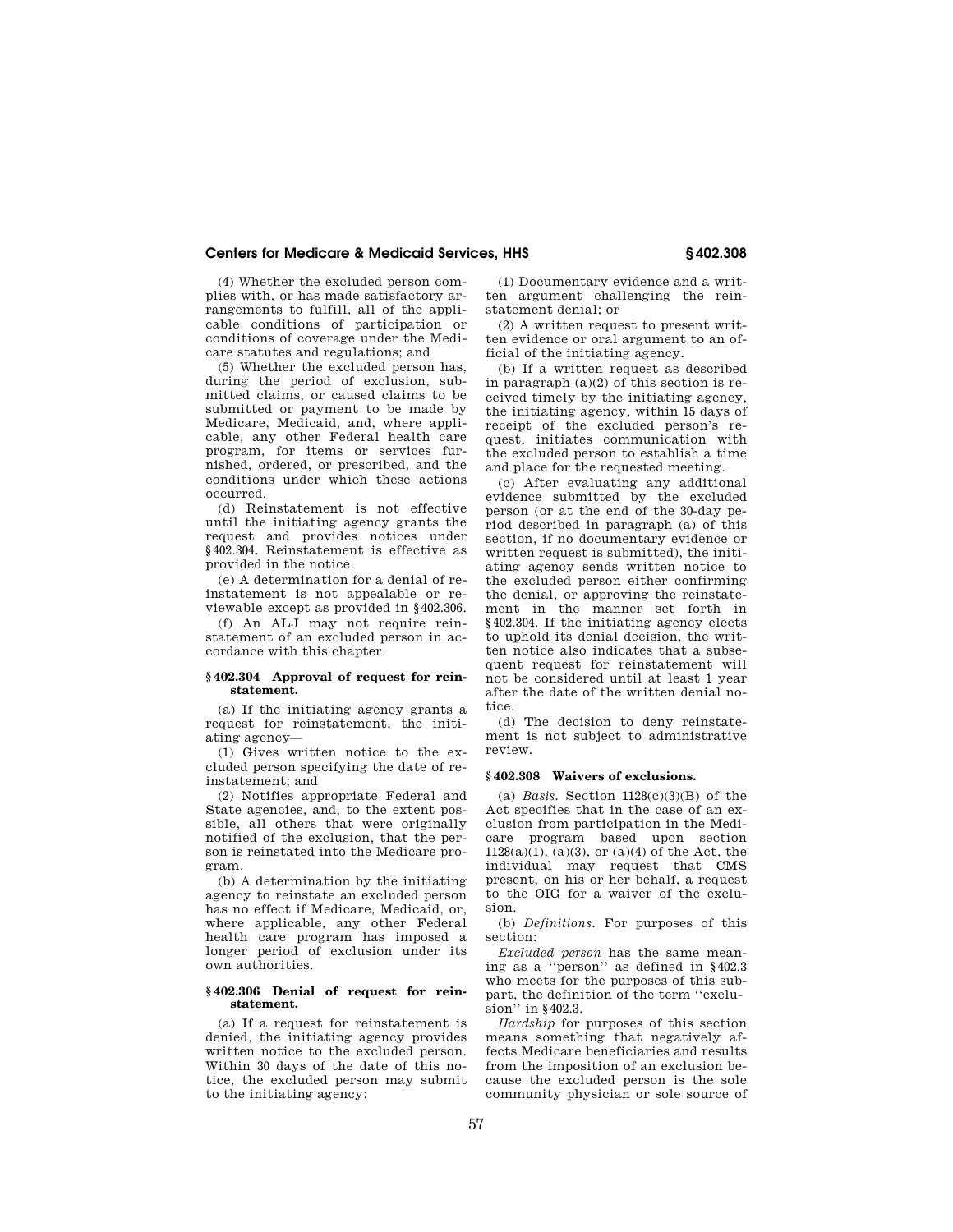(4) Whether the excluded person complies with, or has made satisfactory arrangements to fulfill, all of the applicable conditions of participation or conditions of coverage under the Medicare statutes and regulations; and

(5) Whether the excluded person has, during the period of exclusion, submitted claims, or caused claims to be submitted or payment to be made by Medicare, Medicaid, and, where applicable, any other Federal health care program, for items or services furnished, ordered, or prescribed, and the conditions under which these actions occurred.

(d) Reinstatement is not effective until the initiating agency grants the request and provides notices under §402.304. Reinstatement is effective as provided in the notice.

(e) A determination for a denial of reinstatement is not appealable or reviewable except as provided in §402.306.

(f) An ALJ may not require reinstatement of an excluded person in accordance with this chapter.

## **§ 402.304 Approval of request for reinstatement.**

(a) If the initiating agency grants a request for reinstatement, the initiating agency—

(1) Gives written notice to the excluded person specifying the date of reinstatement; and

(2) Notifies appropriate Federal and State agencies, and, to the extent possible, all others that were originally notified of the exclusion, that the person is reinstated into the Medicare program.

(b) A determination by the initiating agency to reinstate an excluded person has no effect if Medicare, Medicaid, or, where applicable, any other Federal health care program has imposed a longer period of exclusion under its own authorities.

## **§ 402.306 Denial of request for reinstatement.**

(a) If a request for reinstatement is denied, the initiating agency provides written notice to the excluded person. Within 30 days of the date of this notice, the excluded person may submit to the initiating agency:

(1) Documentary evidence and a written argument challenging the reinstatement denial; or

(2) A written request to present written evidence or oral argument to an official of the initiating agency.

(b) If a written request as described in paragraph (a)(2) of this section is received timely by the initiating agency, the initiating agency, within 15 days of receipt of the excluded person's request, initiates communication with the excluded person to establish a time and place for the requested meeting.

(c) After evaluating any additional evidence submitted by the excluded person (or at the end of the 30-day period described in paragraph (a) of this section, if no documentary evidence or written request is submitted), the initiating agency sends written notice to the excluded person either confirming the denial, or approving the reinstatement in the manner set forth in §402.304. If the initiating agency elects to uphold its denial decision, the written notice also indicates that a subsequent request for reinstatement will not be considered until at least 1 year after the date of the written denial notice.

(d) The decision to deny reinstatement is not subject to administrative review.

## **§ 402.308 Waivers of exclusions.**

(a) *Basis.* Section 1128(c)(3)(B) of the Act specifies that in the case of an exclusion from participation in the Medicare program based upon section  $1128(a)(1)$ ,  $(a)(3)$ , or  $(a)(4)$  of the Act, the individual may request that CMS present, on his or her behalf, a request to the OIG for a waiver of the exclusion.

(b) *Definitions.* For purposes of this section:

*Excluded person* has the same meaning as a ''person'' as defined in §402.3 who meets for the purposes of this subpart, the definition of the term ''exclusion'' in §402.3.

*Hardship* for purposes of this section means something that negatively affects Medicare beneficiaries and results from the imposition of an exclusion because the excluded person is the sole community physician or sole source of